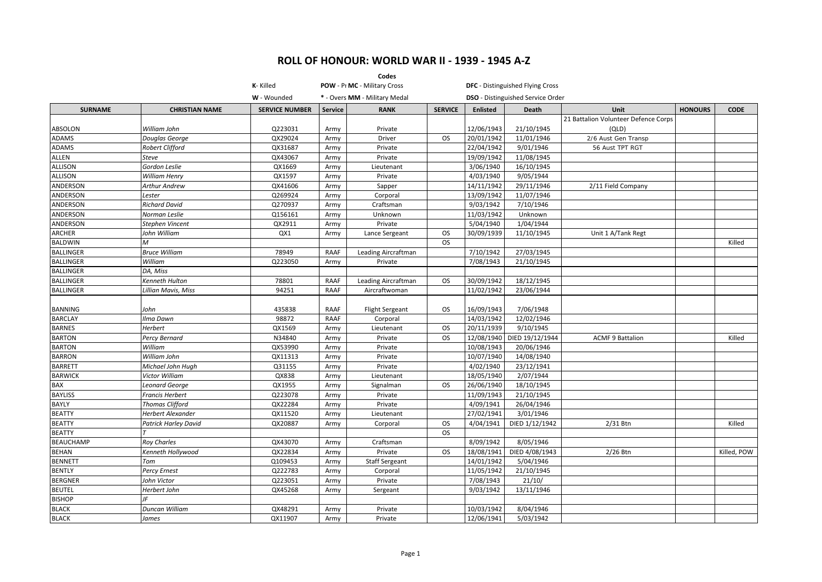|                  |                        |                       |                | Codes                         |                |                 |                                          |                                      |                |             |
|------------------|------------------------|-----------------------|----------------|-------------------------------|----------------|-----------------|------------------------------------------|--------------------------------------|----------------|-------------|
|                  |                        | K-Killed              |                | POW - Pr MC - Military Cross  |                |                 | <b>DFC</b> - Distinguished Flying Cross  |                                      |                |             |
|                  |                        | W - Wounded           |                | * - Overs MM - Military Medal |                |                 | <b>DSO</b> - Distinguished Service Order |                                      |                |             |
| <b>SURNAME</b>   | <b>CHRISTIAN NAME</b>  | <b>SERVICE NUMBER</b> | <b>Service</b> | <b>RANK</b>                   | <b>SERVICE</b> | <b>Enlisted</b> | <b>Death</b>                             | <b>Unit</b>                          | <b>HONOURS</b> | <b>CODE</b> |
|                  |                        |                       |                |                               |                |                 |                                          | 21 Battalion Volunteer Defence Corps |                |             |
| <b>ABSOLON</b>   | William John           | Q223031               | Army           | Private                       |                | 12/06/1943      | 21/10/1945                               | (QLD)                                |                |             |
| <b>ADAMS</b>     | Douglas George         | QX29024               | Army           | Driver                        | <b>OS</b>      | 20/01/1942      | 11/01/1946                               | 2/6 Aust Gen Transp                  |                |             |
| <b>ADAMS</b>     | Robert Clifford        | QX31687               | Army           | Private                       |                | 22/04/1942      | 9/01/1946                                | 56 Aust TPT RGT                      |                |             |
| <b>ALLEN</b>     | Steve                  | QX43067               | Army           | Private                       |                | 19/09/1942      | 11/08/1945                               |                                      |                |             |
| <b>ALLISON</b>   | Gordon Leslie          | QX1669                | Army           | Lieutenant                    |                | 3/06/1940       | 16/10/1945                               |                                      |                |             |
| <b>ALLISON</b>   | <b>William Henry</b>   | QX1597                | Army           | Private                       |                | 4/03/1940       | 9/05/1944                                |                                      |                |             |
| <b>ANDERSON</b>  | Arthur Andrew          | QX41606               | Army           | Sapper                        |                | 14/11/1942      | 29/11/1946                               | 2/11 Field Company                   |                |             |
| <b>ANDERSON</b>  | Lester                 | Q269924               | Army           | Corporal                      |                | 13/09/1942      | 11/07/1946                               |                                      |                |             |
| <b>ANDERSON</b>  | Richard David          | Q270937               | Army           | Craftsman                     |                | 9/03/1942       | 7/10/1946                                |                                      |                |             |
| <b>ANDERSON</b>  | Norman Leslie          | Q156161               | Army           | Unknown                       |                | 11/03/1942      | Unknown                                  |                                      |                |             |
| ANDERSON         | Stephen Vincent        | QX2911                | Army           | Private                       |                | 5/04/1940       | 1/04/1944                                |                                      |                |             |
| <b>ARCHER</b>    | John William           | QX1                   | Army           | Lance Sergeant                | <b>OS</b>      | 30/09/1939      | 11/10/1945                               | Unit 1 A/Tank Regt                   |                |             |
| <b>BALDWIN</b>   | м                      |                       |                |                               | <b>OS</b>      |                 |                                          |                                      |                | Killed      |
| <b>BALLINGER</b> | <b>Bruce William</b>   | 78949                 | <b>RAAF</b>    | Leading Aircraftman           |                | 7/10/1942       | 27/03/1945                               |                                      |                |             |
| <b>BALLINGER</b> | William                | Q223050               | Army           | Private                       |                | 7/08/1943       | 21/10/1945                               |                                      |                |             |
| <b>BALLINGER</b> | DA, Miss               |                       |                |                               |                |                 |                                          |                                      |                |             |
| <b>BALLINGER</b> | Kenneth Hulton         | 78801                 | <b>RAAF</b>    | Leading Aircraftman           | <b>OS</b>      | 30/09/1942      | 18/12/1945                               |                                      |                |             |
| <b>BALLINGER</b> | Lillian Mavis, Miss    | 94251                 | <b>RAAF</b>    | Aircraftwoman                 |                | 11/02/1942      | 23/06/1944                               |                                      |                |             |
|                  |                        |                       |                |                               |                |                 |                                          |                                      |                |             |
| <b>BANNING</b>   | John                   | 435838                | <b>RAAF</b>    | <b>Flight Sergeant</b>        | <b>OS</b>      | 16/09/1943      | 7/06/1948                                |                                      |                |             |
| <b>BARCLAY</b>   | Ilma Dawn              | 98872                 | <b>RAAF</b>    | Corporal                      |                | 14/03/1942      | 12/02/1946                               |                                      |                |             |
| <b>BARNES</b>    | <b>Herbert</b>         | QX1569                | Army           | Lieutenant                    | <b>OS</b>      | 20/11/1939      | 9/10/1945                                |                                      |                |             |
| <b>BARTON</b>    | Percy Bernard          | N34840                | Army           | Private                       | <b>OS</b>      | 12/08/1940      | DIED 19/12/1944                          | <b>ACMF 9 Battalion</b>              |                | Killed      |
| <b>BARTON</b>    | William                | QX53990               | Army           | Private                       |                | 10/08/1943      | 20/06/1946                               |                                      |                |             |
| <b>BARRON</b>    | William John           | QX11313               | Army           | Private                       |                | 10/07/1940      | 14/08/1940                               |                                      |                |             |
| <b>BARRETT</b>   | Michael John Hugh      | Q31155                | Army           | Private                       |                | 4/02/1940       | 23/12/1941                               |                                      |                |             |
| <b>BARWICK</b>   | Victor William         | QX838                 | Army           | Lieutenant                    |                | 18/05/1940      | 2/07/1944                                |                                      |                |             |
| <b>BAX</b>       | Leonard George         | QX1955                | Army           | Signalman                     | <b>OS</b>      | 26/06/1940      | 18/10/1945                               |                                      |                |             |
| <b>BAYLISS</b>   | Francis Herbert        | Q223078               | Army           | Private                       |                | 11/09/1943      | 21/10/1945                               |                                      |                |             |
| <b>BAYLY</b>     | <b>Thomas Clifford</b> | QX22284               | Army           | Private                       |                | 4/09/1941       | 26/04/1946                               |                                      |                |             |
| <b>BEATTY</b>    | Herbert Alexander      | QX11520               | Army           | Lieutenant                    |                | 27/02/1941      | 3/01/1946                                |                                      |                |             |
| <b>BEATTY</b>    | Patrick Harley David   | QX20887               | Army           | Corporal                      | <b>OS</b>      | 4/04/1941       | DIED 1/12/1942                           | $2/31$ Btn                           |                | Killed      |
| <b>BEATTY</b>    |                        |                       |                |                               | <b>OS</b>      |                 |                                          |                                      |                |             |
| <b>BEAUCHAMP</b> | <b>Roy Charles</b>     | QX43070               | Army           | Craftsman                     |                | 8/09/1942       | 8/05/1946                                |                                      |                |             |
| <b>BEHAN</b>     | Kenneth Hollywood      | QX22834               | Army           | Private                       | <b>OS</b>      | 18/08/1941      | DIED 4/08/1943                           | 2/26 Btn                             |                | Killed, POW |
| <b>BENNETT</b>   | Tom                    | Q109453               | Army           | <b>Staff Sergeant</b>         |                | 14/01/1942      | 5/04/1946                                |                                      |                |             |
| <b>BENTLY</b>    | Percy Ernest           | Q222783               | Army           | Corporal                      |                | 11/05/1942      | 21/10/1945                               |                                      |                |             |
| <b>BERGNER</b>   | John Victor            | Q223051               | Army           | Private                       |                | 7/08/1943       | 21/10/                                   |                                      |                |             |
| <b>BEUTEL</b>    | Herbert John           | QX45268               | Army           | Sergeant                      |                | 9/03/1942       | 13/11/1946                               |                                      |                |             |
| <b>BISHOP</b>    | IF                     |                       |                |                               |                |                 |                                          |                                      |                |             |
| <b>BLACK</b>     | Duncan William         | QX48291               | Army           | Private                       |                | 10/03/1942      | 8/04/1946                                |                                      |                |             |
| <b>BLACK</b>     | James                  | QX11907               | Army           | Private                       |                | 12/06/1941      | 5/03/1942                                |                                      |                |             |
|                  |                        |                       |                |                               |                |                 |                                          |                                      |                |             |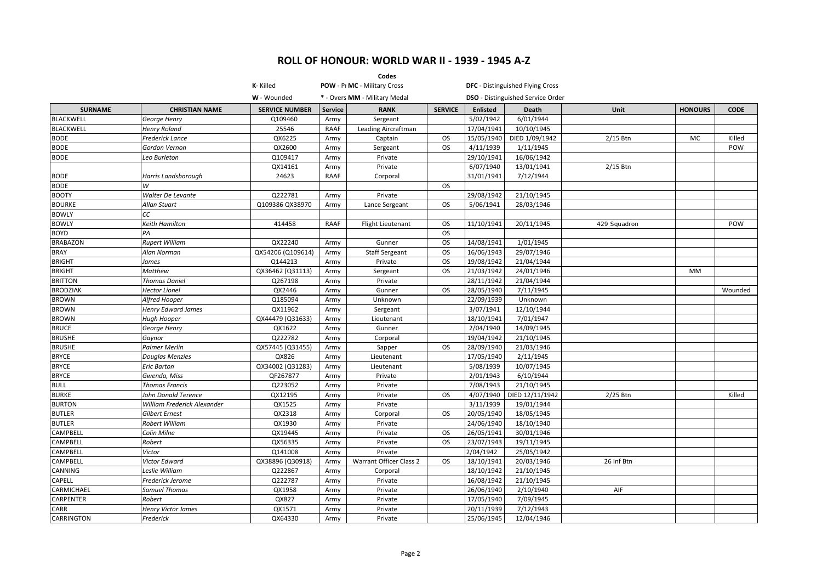|                   |                             |                       |                | Codes                         |                |                 |                                         |              |                |             |
|-------------------|-----------------------------|-----------------------|----------------|-------------------------------|----------------|-----------------|-----------------------------------------|--------------|----------------|-------------|
|                   |                             | K-Killed              |                | POW - Pr MC - Military Cross  |                |                 | <b>DFC</b> - Distinguished Flying Cross |              |                |             |
|                   |                             | W - Wounded           |                | * - Overs MM - Military Medal |                |                 | DSO - Distinguished Service Order       |              |                |             |
| <b>SURNAME</b>    | <b>CHRISTIAN NAME</b>       | <b>SERVICE NUMBER</b> | <b>Service</b> | <b>RANK</b>                   | <b>SERVICE</b> | <b>Enlisted</b> | <b>Death</b>                            | <b>Unit</b>  | <b>HONOURS</b> | <b>CODE</b> |
| <b>BLACKWELL</b>  | George Henry                | Q109460               | Army           | Sergeant                      |                | 5/02/1942       | 6/01/1944                               |              |                |             |
| <b>BLACKWELL</b>  | <b>Henry Roland</b>         | 25546                 | RAAF           | Leading Aircraftman           |                | 17/04/1941      | 10/10/1945                              |              |                |             |
| <b>BODE</b>       | <b>Frederick Lance</b>      | QX6225                | Army           | Captain                       | <b>OS</b>      | 15/05/1940      | DIED 1/09/1942                          | 2/15 Btn     | <b>MC</b>      | Killed      |
| <b>BODE</b>       | Gordon Vernon               | QX2600                | Army           | Sergeant                      | <b>OS</b>      | 4/11/1939       | 1/11/1945                               |              |                | POW         |
| <b>BODE</b>       | Leo Burleton                | Q109417               | Army           | Private                       |                | 29/10/1941      | 16/06/1942                              |              |                |             |
|                   |                             | QX14161               | Army           | Private                       |                | 6/07/1940       | 13/01/1941                              | 2/15 Btn     |                |             |
| <b>BODE</b>       | Harris Landsborough         | 24623                 | <b>RAAF</b>    | Corporal                      |                | 31/01/1941      | 7/12/1944                               |              |                |             |
| <b>BODE</b>       | W                           |                       |                |                               | <b>OS</b>      |                 |                                         |              |                |             |
| <b>BOOTY</b>      | Walter De Levante           | Q222781               | Army           | Private                       |                | 29/08/1942      | 21/10/1945                              |              |                |             |
| <b>BOURKE</b>     | <b>Allan Stuart</b>         | Q109386 QX38970       | Army           | Lance Sergeant                | <b>OS</b>      | 5/06/1941       | 28/03/1946                              |              |                |             |
| <b>BOWLY</b>      | СC                          |                       |                |                               |                |                 |                                         |              |                |             |
| <b>BOWLY</b>      | <b>Keith Hamilton</b>       | 414458                | <b>RAAF</b>    | <b>Flight Lieutenant</b>      | <b>OS</b>      | 11/10/1941      | 20/11/1945                              | 429 Squadron |                | POW         |
| <b>BOYD</b>       | PA                          |                       |                |                               | <b>OS</b>      |                 |                                         |              |                |             |
| <b>BRABAZON</b>   | <b>Rupert William</b>       | QX22240               | Army           | Gunner                        | <b>OS</b>      | 14/08/1941      | 1/01/1945                               |              |                |             |
| <b>BRAY</b>       | Alan Norman                 | QX54206 (Q109614)     | Army           | <b>Staff Sergeant</b>         | <b>OS</b>      | 16/06/1943      | 29/07/1946                              |              |                |             |
| <b>BRIGHT</b>     | James                       | 0144213               | Army           | Private                       | <b>OS</b>      | 19/08/1942      | 21/04/1944                              |              |                |             |
| <b>BRIGHT</b>     | Matthew                     | QX36462 (Q31113)      | Army           | Sergeant                      | <b>OS</b>      | 21/03/1942      | 24/01/1946                              |              | <b>MM</b>      |             |
| <b>BRITTON</b>    | <b>Thomas Daniel</b>        | Q267198               | Army           | Private                       |                | 28/11/1942      | 21/04/1944                              |              |                |             |
| <b>BRODZIAK</b>   | <b>Hector Lionel</b>        | QX2446                | Army           | Gunner                        | <b>OS</b>      | 28/05/1940      | 7/11/1945                               |              |                | Wounded     |
| <b>BROWN</b>      | Alfred Hooper               | Q185094               | Army           | Unknown                       |                | 22/09/1939      | Unknown                                 |              |                |             |
| <b>BROWN</b>      | <b>Henry Edward James</b>   | QX11962               | Army           | Sergeant                      |                | 3/07/1941       | 12/10/1944                              |              |                |             |
| <b>BROWN</b>      | Hugh Hooper                 | QX44479 (Q31633)      | Army           | Lieutenant                    |                | 18/10/1941      | 7/01/1947                               |              |                |             |
| <b>BRUCE</b>      | George Henry                | QX1622                | Army           | Gunner                        |                | 2/04/1940       | 14/09/1945                              |              |                |             |
| <b>BRUSHE</b>     | Gaynor                      | Q222782               | Army           | Corporal                      |                | 19/04/1942      | 21/10/1945                              |              |                |             |
| <b>BRUSHE</b>     | <b>Palmer Merlin</b>        | QX57445 (Q31455)      | Army           | Sapper                        | <b>OS</b>      | 28/09/1940      | 21/03/1946                              |              |                |             |
| <b>BRYCE</b>      | <b>Douglas Menzies</b>      | QX826                 | Army           | Lieutenant                    |                | 17/05/1940      | 2/11/1945                               |              |                |             |
| <b>BRYCE</b>      | <b>Eric Barton</b>          | QX34002 (Q31283)      | Army           | Lieutenant                    |                | 5/08/1939       | 10/07/1945                              |              |                |             |
| <b>BRYCE</b>      | Gwenda, Miss                | QF267877              | Army           | Private                       |                | 2/01/1943       | 6/10/1944                               |              |                |             |
| <b>BULL</b>       | <b>Thomas Francis</b>       | Q223052               | Army           | Private                       |                | 7/08/1943       | 21/10/1945                              |              |                |             |
| <b>BURKE</b>      | <b>John Donald Terence</b>  | QX12195               | Army           | Private                       | <b>OS</b>      | 4/07/1940       | DIED 12/11/1942                         | 2/25 Btn     |                | Killed      |
| <b>BURTON</b>     | William Frederick Alexander | QX1525                | Army           | Private                       |                | 3/11/1939       | 19/01/1944                              |              |                |             |
| <b>BUTLER</b>     | Gilbert Ernest              | QX2318                | Army           | Corporal                      | <b>OS</b>      | 20/05/1940      | 18/05/1945                              |              |                |             |
| <b>BUTLER</b>     | Robert William              | QX1930                | Army           | Private                       |                | 24/06/1940      | 18/10/1940                              |              |                |             |
| CAMPBELL          | Colin Milne                 | QX19445               | Army           | Private                       | OS.            | 26/05/1941      | 30/01/1946                              |              |                |             |
| CAMPBELL          | Robert                      | QX56335               | Army           | Private                       | <b>OS</b>      | 23/07/1943      | 19/11/1945                              |              |                |             |
| CAMPBELL          | Victor                      | Q141008               | Army           | Private                       |                | 2/04/1942       | 25/05/1942                              |              |                |             |
| CAMPBELL          | Victor Edward               | QX38896 (Q30918)      | Army           | Warrant Officer Class 2       | OS.            | 18/10/1941      | 20/03/1946                              | 26 Inf Btn   |                |             |
| CANNING           | Leslie William              | Q222867               | Army           | Corporal                      |                | 18/10/1942      | 21/10/1945                              |              |                |             |
| CAPELL            | Frederick Jerome            | Q222787               | Army           | Private                       |                | 16/08/1942      | 21/10/1945                              |              |                |             |
| CARMICHAEL        | <b>Samuel Thomas</b>        | QX1958                | Army           | Private                       |                | 26/06/1940      | 2/10/1940                               | AIF          |                |             |
| CARPENTER         | Robert                      | QX827                 | Army           | Private                       |                | 17/05/1940      | 7/09/1945                               |              |                |             |
| <b>CARR</b>       | Henry Victor James          | QX1571                | Army           | Private                       |                | 20/11/1939      | 7/12/1943                               |              |                |             |
| <b>CARRINGTON</b> | Frederick                   | QX64330               | Army           | Private                       |                | 25/06/1945      | 12/04/1946                              |              |                |             |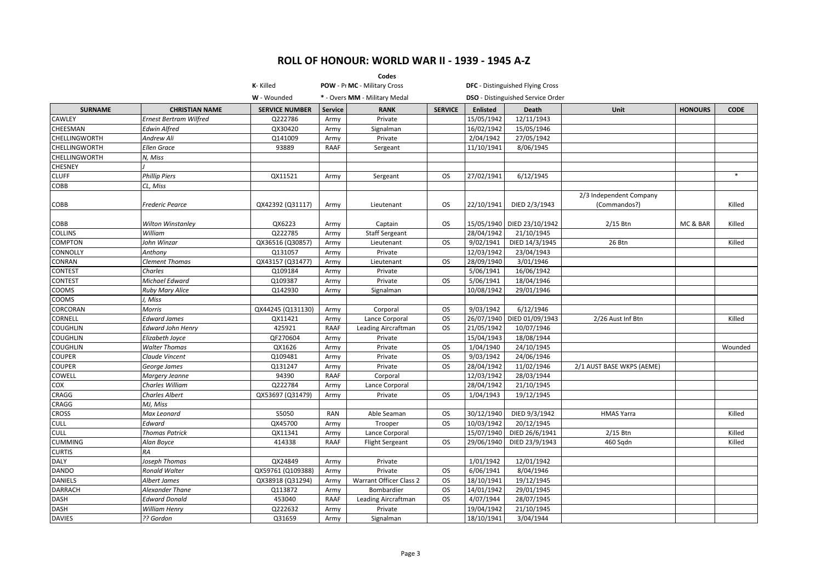|                             |                                       |                              |                | Codes                                 |                        |                          |                                         |                                         |                |             |
|-----------------------------|---------------------------------------|------------------------------|----------------|---------------------------------------|------------------------|--------------------------|-----------------------------------------|-----------------------------------------|----------------|-------------|
|                             |                                       | K-Killed                     |                | POW - Pr MC - Military Cross          |                        |                          | <b>DFC</b> - Distinguished Flying Cross |                                         |                |             |
|                             |                                       | W - Wounded                  |                | * - Overs MM - Military Medal         |                        |                          | DSO - Distinguished Service Order       |                                         |                |             |
| <b>SURNAME</b>              | <b>CHRISTIAN NAME</b>                 | <b>SERVICE NUMBER</b>        | <b>Service</b> | <b>RANK</b>                           | <b>SERVICE</b>         | <b>Enlisted</b>          | <b>Death</b>                            | <b>Unit</b>                             | <b>HONOURS</b> | <b>CODE</b> |
| CAWLEY                      | <b>Ernest Bertram Wilfred</b>         | Q222786                      | Army           | Private                               |                        | 15/05/1942               | 12/11/1943                              |                                         |                |             |
| CHEESMAN                    | <b>Edwin Alfred</b>                   | QX30420                      | Army           | Signalman                             |                        | 16/02/1942               | 15/05/1946                              |                                         |                |             |
| <b>CHELLINGWORTH</b>        | Andrew Ali                            | Q141009                      | Army           | Private                               |                        | 2/04/1942                | 27/05/1942                              |                                         |                |             |
| <b>CHELLINGWORTH</b>        | <b>Ellen Grace</b>                    | 93889                        | <b>RAAF</b>    | Sergeant                              |                        | 11/10/1941               | 8/06/1945                               |                                         |                |             |
| <b>CHELLINGWORTH</b>        | N, Miss                               |                              |                |                                       |                        |                          |                                         |                                         |                |             |
| <b>CHESNEY</b>              |                                       |                              |                |                                       |                        |                          |                                         |                                         |                |             |
| <b>CLUFF</b>                | <b>Phillip Piers</b>                  | QX11521                      | Army           | Sergeant                              | <b>OS</b>              | 27/02/1941               | 6/12/1945                               |                                         |                | $*$         |
| COBB                        | CL, Miss                              |                              |                |                                       |                        |                          |                                         |                                         |                |             |
| COBB                        | Frederic Pearce                       | QX42392 (Q31117)             | Army           | Lieutenant                            | <b>OS</b>              | 22/10/1941               | DIED 2/3/1943                           | 2/3 Independent Company<br>(Commandos?) |                | Killed      |
| COBB                        | Wilton Winstanley                     | QX6223                       | Army           | Captain                               | <b>OS</b>              |                          | 15/05/1940 DIED 23/10/1942              | 2/15 Btn                                | MC & BAR       | Killed      |
| <b>COLLINS</b>              | William                               | Q222785                      | Army           | <b>Staff Sergeant</b>                 |                        | 28/04/1942               | 21/10/1945                              |                                         |                |             |
| <b>COMPTON</b>              | John Winzar                           | QX36516 (Q30857)             | Army           | Lieutenant                            | <b>OS</b>              | 9/02/1941                | DIED 14/3/1945                          | 26 Btn                                  |                | Killed      |
| CONNOLLY                    | Anthony                               | Q131057                      | Army           | Private                               |                        | 12/03/1942               | 23/04/1943                              |                                         |                |             |
| CONRAN                      | <b>Clement Thomas</b>                 | QX43157 (Q31477)             | Army           | Lieutenant                            | <b>OS</b>              | 28/09/1940               | 3/01/1946                               |                                         |                |             |
| <b>CONTEST</b>              | Charles                               | Q109184                      | Army           | Private                               |                        | 5/06/1941                | 16/06/1942                              |                                         |                |             |
| CONTEST                     | Michael Edward                        | Q109387                      | Army           | Private                               | <b>OS</b>              | 5/06/1941                | 18/04/1946                              |                                         |                |             |
| COOMS                       | <b>Ruby Mary Alice</b>                | Q142930                      | Army           | Signalman                             |                        | 10/08/1942               | 29/01/1946                              |                                         |                |             |
| COOMS                       | J, Miss                               |                              |                |                                       |                        |                          |                                         |                                         |                |             |
| CORCORAN                    | Morris                                | QX44245 (Q131130)            | Army           | Corporal                              | <b>OS</b>              | 9/03/1942                | 6/12/1946                               |                                         |                |             |
| CORNELL                     | <b>Edward James</b>                   | QX11421                      | Army           | Lance Corporal                        | <b>OS</b>              | 26/07/1940               | DIED 01/09/1943                         | 2/26 Aust Inf Btn                       |                | Killed      |
| <b>COUGHLIN</b>             | <b>Edward John Henry</b>              | 425921                       | RAAF           | Leading Aircraftman                   | <b>OS</b>              | 21/05/1942               | 10/07/1946                              |                                         |                |             |
| <b>COUGHLIN</b>             | Elizabeth Joyce                       | QF270604                     | Army           | Private                               |                        | 15/04/1943               | 18/08/1944                              |                                         |                |             |
| <b>COUGHLIN</b>             | <b>Walter Thomas</b>                  | QX1626                       | Army           | Private                               | <b>OS</b>              | 1/04/1940                | 24/10/1945                              |                                         |                | Wounded     |
| <b>COUPER</b>               | Claude Vincent                        | Q109481                      | Army           | Private                               | <b>OS</b>              | 9/03/1942                | 24/06/1946                              |                                         |                |             |
| <b>COUPER</b>               | George James                          | Q131247                      | Army           | Private                               | <b>OS</b>              | 28/04/1942               | 11/02/1946                              | 2/1 AUST BASE WKPS (AEME)               |                |             |
| COWELL                      | Margery Jeanne                        | 94390                        | RAAF           | Corporal                              |                        | 12/03/1942               | 28/03/1944                              |                                         |                |             |
| COX                         | Charles William                       | Q222784                      | Army           | Lance Corporal                        |                        | 28/04/1942               | 21/10/1945                              |                                         |                |             |
| CRAGG                       | <b>Charles Albert</b>                 | QX53697 (Q31479)             | Army           | Private                               | <b>OS</b>              | 1/04/1943                | 19/12/1945                              |                                         |                |             |
| CRAGG                       | MJ, Miss                              |                              |                |                                       |                        |                          |                                         |                                         |                |             |
| <b>CROSS</b>                | Max Leonard                           | S5050                        | <b>RAN</b>     | Able Seaman                           | <b>OS</b><br><b>OS</b> | 30/12/1940               | DIED 9/3/1942                           | <b>HMAS Yarra</b>                       |                | Killed      |
| <b>CULL</b><br><b>CULL</b>  | Edward                                | QX45700                      | Army           | Trooper                               |                        | 10/03/1942               | 20/12/1945<br>DIED 26/6/1941            |                                         |                |             |
|                             | <b>Thomas Patrick</b>                 | QX11341                      | Army           | Lance Corporal                        | <b>OS</b>              | 15/07/1940<br>29/06/1940 |                                         | $2/15$ Btn                              |                | Killed      |
| <b>CUMMING</b>              | Alan Boyce                            | 414338                       | RAAF           | <b>Flight Sergeant</b>                |                        |                          | DIED 23/9/1943                          | 460 Sqdn                                |                | Killed      |
| <b>CURTIS</b>               | <b>RA</b>                             |                              |                |                                       |                        |                          |                                         |                                         |                |             |
| <b>DALY</b><br><b>DANDO</b> | Joseph Thomas<br><b>Ronald Walter</b> | QX24849<br>QX59761 (Q109388) | Army<br>Army   | Private<br>Private                    | <b>OS</b>              | 1/01/1942<br>6/06/1941   | 12/01/1942<br>8/04/1946                 |                                         |                |             |
| <b>DANIELS</b>              |                                       |                              |                |                                       | <b>OS</b>              | 18/10/1941               | 19/12/1945                              |                                         |                |             |
| <b>DARRACH</b>              | Albert James<br>Alexander Thane       | QX38918 (Q31294)<br>Q113872  | Army<br>Army   | Warrant Officer Class 2<br>Bombardier | <b>OS</b>              | 14/01/1942               | 29/01/1945                              |                                         |                |             |
| <b>DASH</b>                 | <b>Edward Donald</b>                  | 453040                       | RAAF           | Leading Aircraftman                   | <b>OS</b>              | 4/07/1944                | 28/07/1945                              |                                         |                |             |
| <b>DASH</b>                 | William Henry                         | Q222632                      | Army           | Private                               |                        | 19/04/1942               | 21/10/1945                              |                                         |                |             |
| <b>DAVIES</b>               | ?? Gordon                             | Q31659                       | Army           | Signalman                             |                        | 18/10/1941               | 3/04/1944                               |                                         |                |             |
|                             |                                       |                              |                |                                       |                        |                          |                                         |                                         |                |             |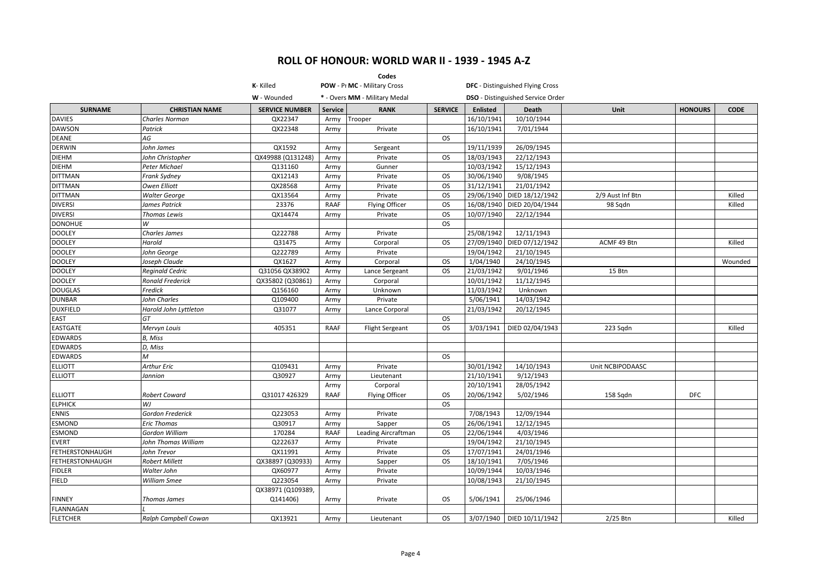|                        |                         |                       |                | Codes                         |                |                 |                                          |                  |                |             |
|------------------------|-------------------------|-----------------------|----------------|-------------------------------|----------------|-----------------|------------------------------------------|------------------|----------------|-------------|
|                        |                         | K-Killed              |                | POW - Pr MC - Military Cross  |                |                 | <b>DFC</b> - Distinguished Flying Cross  |                  |                |             |
|                        |                         | W - Wounded           |                | * - Overs MM - Military Medal |                |                 | <b>DSO</b> - Distinguished Service Order |                  |                |             |
| <b>SURNAME</b>         | <b>CHRISTIAN NAME</b>   | <b>SERVICE NUMBER</b> | <b>Service</b> | <b>RANK</b>                   | <b>SERVICE</b> | <b>Enlisted</b> | Death                                    | Unit             | <b>HONOURS</b> | <b>CODE</b> |
| <b>DAVIES</b>          | <b>Charles Norman</b>   | QX22347               | Army           | Trooper                       |                | 16/10/1941      | 10/10/1944                               |                  |                |             |
| <b>DAWSON</b>          | Patrick                 | QX22348               | Army           | Private                       |                | 16/10/1941      | 7/01/1944                                |                  |                |             |
| <b>DEANE</b>           | AG                      |                       |                |                               | <b>OS</b>      |                 |                                          |                  |                |             |
| <b>DERWIN</b>          | John James              | QX1592                | Army           | Sergeant                      |                | 19/11/1939      | 26/09/1945                               |                  |                |             |
| <b>DIEHM</b>           | John Christopher        | QX49988 (Q131248)     | Army           | Private                       | <b>OS</b>      | 18/03/1943      | 22/12/1943                               |                  |                |             |
| <b>DIEHM</b>           | Peter Michael           | Q131160               | Army           | Gunner                        |                | 10/03/1942      | 15/12/1943                               |                  |                |             |
| <b>DITTMAN</b>         | Frank Sydney            | QX12143               | Army           | Private                       | <b>OS</b>      | 30/06/1940      | 9/08/1945                                |                  |                |             |
| <b>DITTMAN</b>         | Owen Elliott            | QX28568               | Army           | Private                       | <b>OS</b>      | 31/12/1941      | 21/01/1942                               |                  |                |             |
| <b>DITTMAN</b>         | <b>Walter George</b>    | QX13564               | Army           | Private                       | <b>OS</b>      | 29/06/1940      | DIED 18/12/1942                          | 2/9 Aust Inf Btn |                | Killed      |
| <b>DIVERSI</b>         | James Patrick           | 23376                 | <b>RAAF</b>    | Flying Officer                | <b>OS</b>      | 16/08/1940      | DIED 20/04/1944                          | 98 Sqdn          |                | Killed      |
| <b>DIVERSI</b>         | Thomas Lewis            | QX14474               | Army           | Private                       | OS             | 10/07/1940      | 22/12/1944                               |                  |                |             |
| <b>DONOHUE</b>         | W                       |                       |                |                               | <b>OS</b>      |                 |                                          |                  |                |             |
| <b>DOOLEY</b>          | <b>Charles James</b>    | Q222788               | Army           | Private                       |                | 25/08/1942      | 12/11/1943                               |                  |                |             |
| <b>DOOLEY</b>          | Harold                  | Q31475                | Army           | Corporal                      | <b>OS</b>      | 27/09/1940      | DIED 07/12/1942                          | ACMF 49 Btn      |                | Killed      |
| <b>DOOLEY</b>          | John George             | Q222789               | Army           | Private                       |                | 19/04/1942      | 21/10/1945                               |                  |                |             |
| <b>DOOLEY</b>          | Joseph Claude           | QX1627                | Army           | Corporal                      | <b>OS</b>      | 1/04/1940       | 24/10/1945                               |                  |                | Wounded     |
| <b>DOOLEY</b>          | Reginald Cedric         | Q31056 QX38902        | Army           | Lance Sergeant                | <b>OS</b>      | 21/03/1942      | 9/01/1946                                | 15 Btn           |                |             |
| <b>DOOLEY</b>          | <b>Ronald Frederick</b> | QX35802 (Q30861)      | Army           | Corporal                      |                | 10/01/1942      | 11/12/1945                               |                  |                |             |
| <b>DOUGLAS</b>         | Fredick                 | Q156160               | Army           | Unknown                       |                | 11/03/1942      | Unknown                                  |                  |                |             |
| <b>DUNBAR</b>          | John Charles            | Q109400               | Army           | Private                       |                | 5/06/1941       | 14/03/1942                               |                  |                |             |
| <b>DUXFIELD</b>        | Harold John Lyttleton   | Q31077                | Army           | Lance Corporal                |                | 21/03/1942      | 20/12/1945                               |                  |                |             |
| <b>EAST</b>            | GT                      |                       |                |                               | <b>OS</b>      |                 |                                          |                  |                |             |
| <b>EASTGATE</b>        | Mervyn Louis            | 405351                | RAAF           | <b>Flight Sergeant</b>        | <b>OS</b>      | 3/03/1941       | DIED 02/04/1943                          | 223 Sqdn         |                | Killed      |
| <b>EDWARDS</b>         | B, Miss                 |                       |                |                               |                |                 |                                          |                  |                |             |
| <b>EDWARDS</b>         | D, Miss                 |                       |                |                               |                |                 |                                          |                  |                |             |
| <b>EDWARDS</b>         | м                       |                       |                |                               | <b>OS</b>      |                 |                                          |                  |                |             |
| <b>ELLIOTT</b>         | Arthur Eric             | Q109431               | Army           | Private                       |                | 30/01/1942      | 14/10/1943                               | Unit NCBIPODAASC |                |             |
| <b>ELLIOTT</b>         | Jannion                 | Q30927                | Army           | Lieutenant                    |                | 21/10/1941      | 9/12/1943                                |                  |                |             |
|                        |                         |                       | Army           | Corporal                      |                | 20/10/1941      | 28/05/1942                               |                  |                |             |
| <b>ELLIOTT</b>         | Robert Coward           | Q31017 426329         | <b>RAAF</b>    | Flying Officer                | <b>OS</b>      | 20/06/1942      | 5/02/1946                                | 158 Sqdn         | <b>DFC</b>     |             |
| <b>ELPHICK</b>         | WJ                      |                       |                |                               | <b>OS</b>      |                 |                                          |                  |                |             |
| <b>ENNIS</b>           | Gordon Frederick        | Q223053               | Army           | Private                       |                | 7/08/1943       | 12/09/1944                               |                  |                |             |
| <b>ESMOND</b>          | <b>Eric Thomas</b>      | Q30917                | Army           | Sapper                        | <b>OS</b>      | 26/06/1941      | 12/12/1945                               |                  |                |             |
| <b>ESMOND</b>          | Gordon William          | 170284                | <b>RAAF</b>    | Leading Aircraftman           | <b>OS</b>      | 22/06/1944      | 4/03/1946                                |                  |                |             |
| <b>EVERT</b>           | John Thomas William     | Q222637               | Army           | Private                       |                | 19/04/1942      | 21/10/1945                               |                  |                |             |
| <b>FETHERSTONHAUGH</b> | John Trevor             | QX11991               | Army           | Private                       | <b>OS</b>      | 17/07/1941      | 24/01/1946                               |                  |                |             |
| <b>FETHERSTONHAUGH</b> | Robert Millett          | QX38897 (Q30933)      | Army           | Sapper                        | <b>OS</b>      | 18/10/1941      | 7/05/1946                                |                  |                |             |
| <b>FIDLER</b>          | Walter John             | QX60977               | Army           | Private                       |                | 10/09/1944      | 10/03/1946                               |                  |                |             |
| <b>FIELD</b>           | William Smee            | Q223054               | Army           | Private                       |                | 10/08/1943      | 21/10/1945                               |                  |                |             |
|                        |                         | QX38971 (Q109389,     |                |                               |                |                 |                                          |                  |                |             |
| <b>FINNEY</b>          | Thomas James            | Q141406)              | Army           | Private                       | os             | 5/06/1941       | 25/06/1946                               |                  |                |             |
| FLANNAGAN              |                         |                       |                |                               |                |                 |                                          |                  |                |             |
| <b>FLETCHER</b>        | Ralph Campbell Cowan    | QX13921               | Army           | Lieutenant                    | <b>OS</b>      |                 | 3/07/1940   DIED 10/11/1942              | 2/25 Btn         |                | Killed      |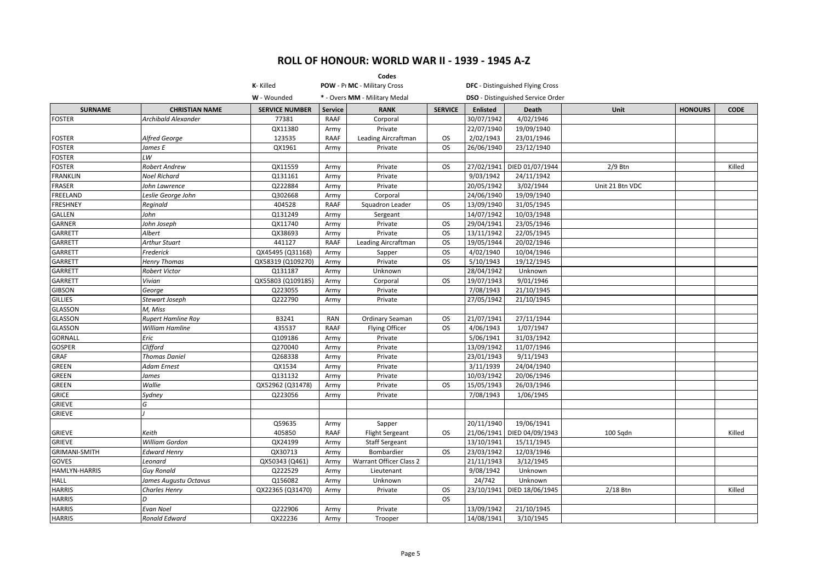|                      |                           |                       |                | Codes                         |                |                 |                                          |                 |                |             |
|----------------------|---------------------------|-----------------------|----------------|-------------------------------|----------------|-----------------|------------------------------------------|-----------------|----------------|-------------|
|                      |                           | K-Killed              |                | POW - Pr MC - Military Cross  |                |                 | <b>DFC</b> - Distinguished Flying Cross  |                 |                |             |
|                      |                           | W - Wounded           |                | * - Overs MM - Military Medal |                |                 | <b>DSO</b> - Distinguished Service Order |                 |                |             |
| <b>SURNAME</b>       | <b>CHRISTIAN NAME</b>     | <b>SERVICE NUMBER</b> | <b>Service</b> | <b>RANK</b>                   | <b>SERVICE</b> | <b>Enlisted</b> | <b>Death</b>                             | Unit            | <b>HONOURS</b> | <b>CODE</b> |
| <b>FOSTER</b>        | Archibald Alexander       | 77381                 | <b>RAAF</b>    | Corporal                      |                | 30/07/1942      | 4/02/1946                                |                 |                |             |
|                      |                           | QX11380               | Army           | Private                       |                | 22/07/1940      | 19/09/1940                               |                 |                |             |
| <b>FOSTER</b>        | Alfred George             | 123535                | RAAF           | Leading Aircraftman           | OS             | 2/02/1943       | 23/01/1946                               |                 |                |             |
| <b>FOSTER</b>        | James E                   | QX1961                | Army           | Private                       | <b>OS</b>      | 26/06/1940      | 23/12/1940                               |                 |                |             |
| <b>FOSTER</b>        | LW                        |                       |                |                               |                |                 |                                          |                 |                |             |
| <b>FOSTER</b>        | <b>Robert Andrew</b>      | QX11559               | Army           | Private                       | <b>OS</b>      | 27/02/1941      | DIED 01/07/1944                          | $2/9$ Btn       |                | Killed      |
| <b>FRANKLIN</b>      | Noel Richard              | Q131161               | Army           | Private                       |                | 9/03/1942       | 24/11/1942                               |                 |                |             |
| FRASER               | John Lawrence             | Q222884               | Army           | Private                       |                | 20/05/1942      | 3/02/1944                                | Unit 21 Btn VDC |                |             |
| FREELAND             | Leslie George John        | Q302668               | Army           | Corporal                      |                | 24/06/1940      | 19/09/1940                               |                 |                |             |
| <b>FRESHNEY</b>      | Reginald                  | 404528                | <b>RAAF</b>    | Squadron Leader               | <b>OS</b>      | 13/09/1940      | 31/05/1945                               |                 |                |             |
| <b>GALLEN</b>        | John                      | Q131249               | Army           | Sergeant                      |                | 14/07/1942      | 10/03/1948                               |                 |                |             |
| <b>GARNER</b>        | John Joseph               | QX11740               | Army           | Private                       | <b>OS</b>      | 29/04/1941      | 23/05/1946                               |                 |                |             |
| <b>GARRETT</b>       | Albert                    | QX38693               | Army           | Private                       | <b>OS</b>      | 13/11/1942      | 22/05/1945                               |                 |                |             |
| <b>GARRETT</b>       | <b>Arthur Stuart</b>      | 441127                | <b>RAAF</b>    | Leading Aircraftman           | <b>OS</b>      | 19/05/1944      | 20/02/1946                               |                 |                |             |
| <b>GARRETT</b>       | Frederick                 | QX45495 (Q31168)      | Army           | Sapper                        | <b>OS</b>      | 4/02/1940       | 10/04/1946                               |                 |                |             |
| <b>GARRETT</b>       | <b>Henry Thomas</b>       | QX58319 (Q109270)     | Army           | Private                       | <b>OS</b>      | 5/10/1943       | 19/12/1945                               |                 |                |             |
| GARRETT              | Robert Victor             | Q131187               | Army           | Unknown                       |                | 28/04/1942      | Unknown                                  |                 |                |             |
| <b>GARRETT</b>       | Vivian                    | QX55803 (Q109185)     | Army           | Corporal                      | OS.            | 19/07/1943      | 9/01/1946                                |                 |                |             |
| <b>GIBSON</b>        | George                    | Q223055               | Army           | Private                       |                | 7/08/1943       | 21/10/1945                               |                 |                |             |
| <b>GILLIES</b>       | Stewart Joseph            | Q222790               | Army           | Private                       |                | 27/05/1942      | 21/10/1945                               |                 |                |             |
| GLASSON              | M, Miss                   |                       |                |                               |                |                 |                                          |                 |                |             |
| <b>GLASSON</b>       | <b>Rupert Hamline Roy</b> | B3241                 | <b>RAN</b>     | Ordinary Seaman               | <b>OS</b>      | 21/07/1941      | 27/11/1944                               |                 |                |             |
| <b>GLASSON</b>       | William Hamline           | 435537                | <b>RAAF</b>    | <b>Flying Officer</b>         | OS.            | 4/06/1943       | 1/07/1947                                |                 |                |             |
| <b>GORNALL</b>       | Eric                      | Q109186               | Army           | Private                       |                | 5/06/1941       | 31/03/1942                               |                 |                |             |
| <b>GOSPER</b>        | Clifford                  | Q270040               | Army           | Private                       |                | 13/09/1942      | 11/07/1946                               |                 |                |             |
| GRAF                 | <b>Thomas Daniel</b>      | Q268338               | Army           | Private                       |                | 23/01/1943      | 9/11/1943                                |                 |                |             |
| <b>GREEN</b>         | Adam Ernest               | QX1534                | Army           | Private                       |                | 3/11/1939       | 24/04/1940                               |                 |                |             |
| <b>GREEN</b>         | James                     | Q131132               | Army           | Private                       |                | 10/03/1942      | 20/06/1946                               |                 |                |             |
| <b>GREEN</b>         | Wallie                    | QX52962 (Q31478)      | Army           | Private                       | <b>OS</b>      | 15/05/1943      | 26/03/1946                               |                 |                |             |
| <b>GRICE</b>         | Sydney                    | Q223056               | Army           | Private                       |                | 7/08/1943       | 1/06/1945                                |                 |                |             |
| <b>GRIEVE</b>        | G                         |                       |                |                               |                |                 |                                          |                 |                |             |
| <b>GRIEVE</b>        |                           |                       |                |                               |                |                 |                                          |                 |                |             |
|                      |                           | Q59635                | Army           | Sapper                        |                | 20/11/1940      | 19/06/1941                               |                 |                |             |
| <b>GRIEVE</b>        | Keith                     | 405850                | <b>RAAF</b>    | <b>Flight Sergeant</b>        | OS.            | 21/06/1941      | DIED 04/09/1943                          | 100 Sqdn        |                | Killed      |
| <b>GRIEVE</b>        | William Gordon            | QX24199               | Army           | <b>Staff Sergeant</b>         |                | 13/10/1941      | 15/11/1945                               |                 |                |             |
| <b>GRIMANI-SMITH</b> | Edward Henry              | QX30713               | Army           | Bombardier                    | OS.            | 23/03/1942      | 12/03/1946                               |                 |                |             |
| GOVES                | Leonard                   | QX50343 (Q461)        | Army           | Warrant Officer Class 2       |                | 21/11/1943      | 3/12/1945                                |                 |                |             |
| <b>HAMLYN-HARRIS</b> | <b>Guy Ronald</b>         | Q222529               | Army           | Lieutenant                    |                | 9/08/1942       | Unknown                                  |                 |                |             |
| <b>HALL</b>          | James Augustu Octavus     | Q156082               | Army           | Unknown                       |                | 24/742          | Unknown                                  |                 |                |             |
| <b>HARRIS</b>        | <b>Charles Henry</b>      | QX22365 (Q31470)      | Army           | Private                       | <b>OS</b>      | 23/10/1941      | DIED 18/06/1945                          | $2/18$ Btn      |                | Killed      |
| <b>HARRIS</b>        |                           |                       |                |                               | <b>OS</b>      |                 |                                          |                 |                |             |
| <b>HARRIS</b>        | <b>Evan Noel</b>          | Q222906               | Army           | Private                       |                | 13/09/1942      | 21/10/1945                               |                 |                |             |
| <b>HARRIS</b>        | <b>Ronald Edward</b>      | QX22236               | Army           | Trooper                       |                | 14/08/1941      | 3/10/1945                                |                 |                |             |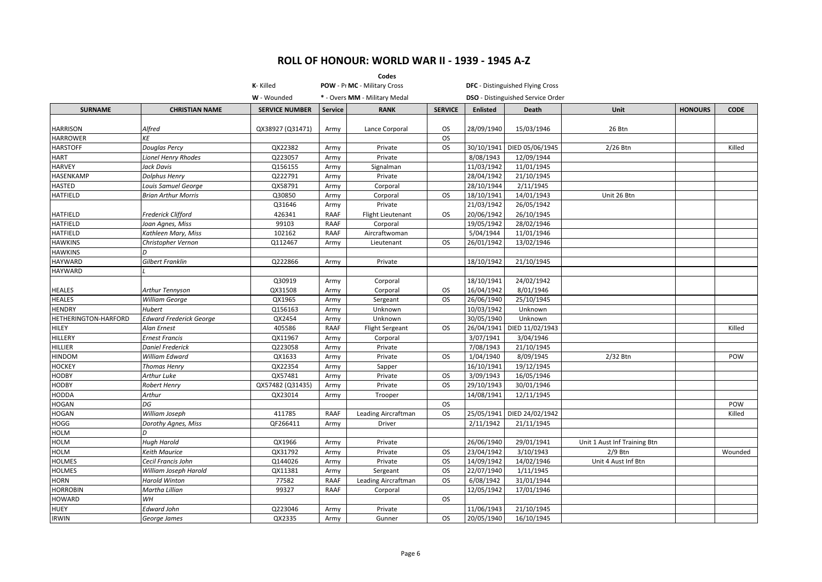|                      |                                |                       |             | Codes                         |                |                 |                                          |                              |                |             |
|----------------------|--------------------------------|-----------------------|-------------|-------------------------------|----------------|-----------------|------------------------------------------|------------------------------|----------------|-------------|
|                      |                                | K-Killed              |             | POW - Pr MC - Military Cross  |                |                 | <b>DFC</b> - Distinguished Flying Cross  |                              |                |             |
|                      |                                | W - Wounded           |             | * - Overs MM - Military Medal |                |                 | <b>DSO</b> - Distinguished Service Order |                              |                |             |
| <b>SURNAME</b>       | <b>CHRISTIAN NAME</b>          | <b>SERVICE NUMBER</b> | Service     | <b>RANK</b>                   | <b>SERVICE</b> | <b>Enlisted</b> | Death                                    | Unit                         | <b>HONOURS</b> | <b>CODE</b> |
| <b>HARRISON</b>      | Alfred                         | QX38927 (Q31471)      | Army        | Lance Corporal                | OS.            | 28/09/1940      | 15/03/1946                               | 26 Btn                       |                |             |
| <b>HARROWER</b>      | <b>KE</b>                      |                       |             |                               | <b>OS</b>      |                 |                                          |                              |                |             |
| <b>HARSTOFF</b>      | <b>Douglas Percy</b>           | QX22382               | Army        | Private                       | <b>OS</b>      | 30/10/1941      | DIED 05/06/1945                          | 2/26 Btn                     |                | Killed      |
| HART                 | <b>Lionel Henry Rhodes</b>     | Q223057               | Army        | Private                       |                | 8/08/1943       | 12/09/1944                               |                              |                |             |
| <b>HARVEY</b>        | Jack Davis                     | Q156155               | Army        | Signalman                     |                | 11/03/1942      | 11/01/1945                               |                              |                |             |
| HASENKAMP            | <b>Dolphus Henry</b>           | Q222791               | Army        | Private                       |                | 28/04/1942      | 21/10/1945                               |                              |                |             |
| <b>HASTED</b>        | Louis Samuel George            | QX58791               | Army        | Corporal                      |                | 28/10/1944      | 2/11/1945                                |                              |                |             |
| <b>HATFIELD</b>      | <b>Brian Arthur Morris</b>     | Q30850                | Army        | Corporal                      | <b>OS</b>      | 18/10/1941      | 14/01/1943                               | Unit 26 Btn                  |                |             |
|                      |                                | Q31646                | Army        | Private                       |                | 21/03/1942      | 26/05/1942                               |                              |                |             |
| <b>HATFIELD</b>      | <b>Frederick Clifford</b>      | 426341                | <b>RAAF</b> | <b>Flight Lieutenant</b>      | OS.            | 20/06/1942      | 26/10/1945                               |                              |                |             |
| <b>HATFIELD</b>      | Joan Agnes, Miss               | 99103                 | <b>RAAF</b> | Corporal                      |                | 19/05/1942      | 28/02/1946                               |                              |                |             |
| <b>HATFIELD</b>      | Kathleen Mary, Miss            | 102162                | <b>RAAF</b> | Aircraftwoman                 |                | 5/04/1944       | 11/01/1946                               |                              |                |             |
| <b>HAWKINS</b>       | Christopher Vernon             | Q112467               | Army        | Lieutenant                    | <b>OS</b>      | 26/01/1942      | 13/02/1946                               |                              |                |             |
| <b>HAWKINS</b>       |                                |                       |             |                               |                |                 |                                          |                              |                |             |
| <b>HAYWARD</b>       | Gilbert Franklin               | Q222866               | Army        | Private                       |                | 18/10/1942      | 21/10/1945                               |                              |                |             |
| <b>HAYWARD</b>       |                                |                       |             |                               |                |                 |                                          |                              |                |             |
|                      |                                | Q30919                | Army        | Corporal                      |                | 18/10/1941      | 24/02/1942                               |                              |                |             |
| <b>HEALES</b>        | Arthur Tennyson                | QX31508               | Army        | Corporal                      | OS.            | 16/04/1942      | 8/01/1946                                |                              |                |             |
| <b>HEALES</b>        | William George                 | QX1965                | Army        | Sergeant                      | <b>OS</b>      | 26/06/1940      | 25/10/1945                               |                              |                |             |
| <b>HENDRY</b>        | Hubert                         | Q156163               | Army        | Unknown                       |                | 10/03/1942      | Unknown                                  |                              |                |             |
| HETHERINGTON-HARFORD | <b>Edward Frederick George</b> | QX2454                | Army        | Unknown                       |                | 30/05/1940      | Unknown                                  |                              |                |             |
| HILEY                | Alan Ernest                    | 405586                | <b>RAAF</b> | <b>Flight Sergeant</b>        | OS.            | 26/04/1941      | DIED 11/02/1943                          |                              |                | Killed      |
| HILLERY              | <b>Ernest Francis</b>          | QX11967               | Army        | Corporal                      |                | 3/07/1941       | 3/04/1946                                |                              |                |             |
| HILLIER              | <b>Daniel Frederick</b>        | Q223058               | Army        | Private                       |                | 7/08/1943       | 21/10/1945                               |                              |                |             |
| <b>HINDOM</b>        | William Edward                 | QX1633                | Army        | Private                       | <b>OS</b>      | 1/04/1940       | 8/09/1945                                | 2/32 Btn                     |                | POW         |
| <b>HOCKEY</b>        | <b>Thomas Henry</b>            | QX22354               | Army        | Sapper                        |                | 16/10/1941      | 19/12/1945                               |                              |                |             |
| <b>HODBY</b>         | Arthur Luke                    | QX57481               | Army        | Private                       | <b>OS</b>      | 3/09/1943       | 16/05/1946                               |                              |                |             |
| <b>HODBY</b>         | Robert Henry                   | QX57482 (Q31435)      | Army        | Private                       | OS.            | 29/10/1943      | 30/01/1946                               |                              |                |             |
| HODDA                | Arthur                         | QX23014               | Army        | Trooper                       |                | 14/08/1941      | 12/11/1945                               |                              |                |             |
| HOGAN                | DG                             |                       |             |                               | <b>OS</b>      |                 |                                          |                              |                | POW         |
| HOGAN                | William Joseph                 | 411785                | <b>RAAF</b> | Leading Aircraftman           | <b>OS</b>      | 25/05/1941      | DIED 24/02/1942                          |                              |                | Killed      |
| HOGG                 | Dorothy Agnes, Miss            | QF266411              | Army        | Driver                        |                | 2/11/1942       | 21/11/1945                               |                              |                |             |
| <b>HOLM</b>          | D                              |                       |             |                               |                |                 |                                          |                              |                |             |
| <b>HOLM</b>          | <b>Hugh Harold</b>             | QX1966                | Army        | Private                       |                | 26/06/1940      | 29/01/1941                               | Unit 1 Aust Inf Training Btn |                |             |
| <b>HOLM</b>          | <b>Keith Maurice</b>           | QX31792               | Army        | Private                       | OS.            | 23/04/1942      | 3/10/1943                                | $2/9$ Btn                    |                | Wounded     |
| <b>HOLMES</b>        | Cecil Francis John             | Q144026               | Army        | Private                       | <b>OS</b>      | 14/09/1942      | 14/02/1946                               | Unit 4 Aust Inf Btn          |                |             |
| <b>HOLMES</b>        | William Joseph Harold          | QX11381               | Army        | Sergeant                      | <b>OS</b>      | 22/07/1940      | 1/11/1945                                |                              |                |             |
| HORN                 | <b>Harold Winton</b>           | 77582                 | <b>RAAF</b> | Leading Aircraftman           | <b>OS</b>      | 6/08/1942       | 31/01/1944                               |                              |                |             |
| <b>HORROBIN</b>      | Martha Lillian                 | 99327                 | <b>RAAF</b> | Corporal                      |                | 12/05/1942      | 17/01/1946                               |                              |                |             |
| <b>HOWARD</b>        | WH                             |                       |             |                               | <b>OS</b>      |                 |                                          |                              |                |             |
| <b>HUEY</b>          | <b>Edward John</b>             | Q223046               | Army        | Private                       |                | 11/06/1943      | 21/10/1945                               |                              |                |             |
| <b>IRWIN</b>         | George James                   | QX2335                | Army        | Gunner                        | OS.            | 20/05/1940      | 16/10/1945                               |                              |                |             |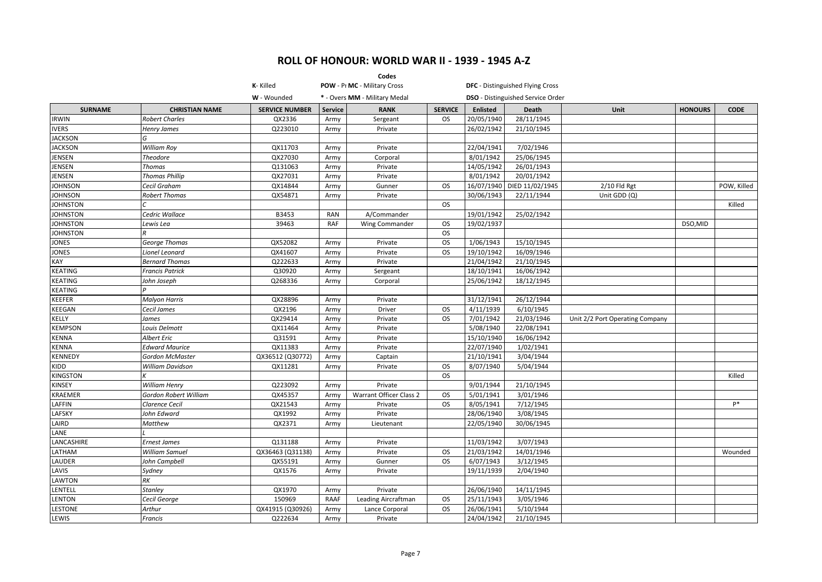|                 |                         |                       |            | Codes                         |                |                        |                                          |                                 |                |             |
|-----------------|-------------------------|-----------------------|------------|-------------------------------|----------------|------------------------|------------------------------------------|---------------------------------|----------------|-------------|
|                 |                         | K-Killed              |            | POW - Pr MC - Military Cross  |                |                        | <b>DFC</b> - Distinguished Flying Cross  |                                 |                |             |
|                 |                         | W - Wounded           |            | * - Overs MM - Military Medal |                |                        | <b>DSO</b> - Distinguished Service Order |                                 |                |             |
| <b>SURNAME</b>  | <b>CHRISTIAN NAME</b>   | <b>SERVICE NUMBER</b> | Service    | <b>RANK</b>                   | <b>SERVICE</b> | <b>Enlisted</b>        | <b>Death</b>                             | Unit                            | <b>HONOURS</b> | <b>CODE</b> |
| <b>IRWIN</b>    | <b>Robert Charles</b>   | QX2336                | Army       | Sergeant                      | OS             | 20/05/1940             | 28/11/1945                               |                                 |                |             |
| <b>IVERS</b>    | <b>Henry James</b>      | Q223010               | Army       | Private                       |                | 26/02/1942             | 21/10/1945                               |                                 |                |             |
| <b>JACKSON</b>  | G                       |                       |            |                               |                |                        |                                          |                                 |                |             |
| <b>JACKSON</b>  | <b>William Roy</b>      | QX11703               | Army       | Private                       |                | 22/04/1941             | 7/02/1946                                |                                 |                |             |
| <b>JENSEN</b>   | <b>Theodore</b>         | QX27030               | Army       | Corporal                      |                | 8/01/1942              | 25/06/1945                               |                                 |                |             |
| <b>JENSEN</b>   | <b>Thomas</b>           | Q131063               | Army       | Private                       |                | 14/05/1942             | 26/01/1943                               |                                 |                |             |
| JENSEN          | <b>Thomas Phillip</b>   | QX27031               | Army       | Private                       |                | 8/01/1942              | 20/01/1942                               |                                 |                |             |
| <b>JOHNSON</b>  | Cecil Graham            | QX14844               | Army       | Gunner                        | <b>OS</b>      | 16/07/1940             | DIED 11/02/1945                          | $2/10$ Fld Rgt                  |                | POW, Killed |
| <b>JOHNSON</b>  | <b>Robert Thomas</b>    | QX54871               | Army       | Private                       |                | 30/06/1943             | 22/11/1944                               | Unit GDD (Q)                    |                |             |
| <b>JOHNSTON</b> |                         |                       |            |                               | <b>OS</b>      |                        |                                          |                                 |                | Killed      |
| <b>JOHNSTON</b> | Cedric Wallace          | B3453                 | <b>RAN</b> | A/Commander                   |                | 19/01/1942             | 25/02/1942                               |                                 |                |             |
| <b>JOHNSTON</b> | Lewis Lea               | 39463                 | <b>RAF</b> | Wing Commander                | OS             | 19/02/1937             |                                          |                                 | DSO,MID        |             |
| <b>JOHNSTON</b> | $\overline{R}$          |                       |            |                               | <b>OS</b>      |                        |                                          |                                 |                |             |
| JONES           | George Thomas           | QX52082               | Army       | Private                       | <b>OS</b>      | 1/06/1943              | 15/10/1945                               |                                 |                |             |
| <b>JONES</b>    | Lionel Leonard          | QX41607               | Army       | Private                       | <b>OS</b>      | 19/10/1942             | 16/09/1946                               |                                 |                |             |
| KAY             | <b>Bernard Thomas</b>   | Q222633               | Army       | Private                       |                | 21/04/1942             | 21/10/1945                               |                                 |                |             |
| KEATING         | <b>Francis Patrick</b>  | Q30920                | Army       | Sergeant                      |                | 18/10/1941             | 16/06/1942                               |                                 |                |             |
| KEATING         | John Joseph             | Q268336               | Army       | Corporal                      |                | 25/06/1942             | 18/12/1945                               |                                 |                |             |
| KEATING         |                         |                       |            |                               |                |                        |                                          |                                 |                |             |
| KEEFER          | <b>Malyon Harris</b>    | QX28896               | Army       | Private                       |                | 31/12/1941             | 26/12/1944                               |                                 |                |             |
| KEEGAN          | Cecil James             | QX2196                | Army       | Driver                        | <b>OS</b>      | 4/11/1939              | 6/10/1945                                |                                 |                |             |
| KELLY           | James                   | QX29414               | Army       | Private                       | <b>OS</b>      | 7/01/1942              | 21/03/1946                               | Unit 2/2 Port Operating Company |                |             |
| KEMPSON         | Louis Delmott           | QX11464               | Army       | Private                       |                | 5/08/1940              | 22/08/1941                               |                                 |                |             |
| <b>CENNA</b>    | <b>Albert Eric</b>      | Q31591                | Army       | Private                       |                | 15/10/1940             | 16/06/1942                               |                                 |                |             |
| KENNA           | <b>Edward Maurice</b>   | QX11383               | Army       | Private                       |                | 22/07/1940             | 1/02/1941                                |                                 |                |             |
| KENNEDY         | Gordon McMaster         | QX36512 (Q30772)      | Army       | Captain                       |                | 21/10/1941             | 3/04/1944                                |                                 |                |             |
| KIDD            | <b>William Davidson</b> | QX11281               | Army       | Private                       | <b>OS</b>      | 8/07/1940              | 5/04/1944                                |                                 |                |             |
| KINGSTON        | К                       |                       |            |                               | <b>OS</b>      |                        |                                          |                                 |                | Killed      |
| KINSEY          | <b>William Henry</b>    | Q223092               | Army       | Private                       |                | 9/01/1944              | 21/10/1945                               |                                 |                |             |
| KRAEMER         | Gordon Robert William   | QX45357               | Army       | Warrant Officer Class 2       | <b>OS</b>      | 5/01/1941              | 3/01/1946                                |                                 |                |             |
| LAFFIN          | <b>Clarence Cecil</b>   | QX21543               | Army       | Private                       | OS.            | 8/05/1941              | 7/12/1945                                |                                 |                | $P*$        |
| LAFSKY          | John Edward             | QX1992                | Army       | Private                       |                | 28/06/1940             | 3/08/1945                                |                                 |                |             |
| LAIRD           | Matthew                 | QX2371                | Army       | Lieutenant                    |                | 22/05/1940             | 30/06/1945                               |                                 |                |             |
| LANE            |                         |                       |            |                               |                |                        |                                          |                                 |                |             |
| LANCASHIRE      | <b>Ernest James</b>     | 0131188               | Army       | Private                       |                | 11/03/1942             | 3/07/1943                                |                                 |                |             |
| <b>ATHAM</b>    | <b>William Samuel</b>   | QX36463 (Q31138)      | Army       | Private                       | <b>OS</b>      | 21/03/1942             | 14/01/1946                               |                                 |                | Wounded     |
| LAUDER          | John Campbell           | QX55191               | Army       | Gunner                        | OS.            | $\frac{1}{6}$ /07/1943 | 3/12/1945                                |                                 |                |             |
| LAVIS           | Sydney                  | QX1576                | Army       | Private                       |                | 19/11/1939             | 2/04/1940                                |                                 |                |             |
| LAWTON          | RK                      |                       |            |                               |                |                        |                                          |                                 |                |             |
| LENTELL         | <b>Stanley</b>          | QX1970                | Army       | Private                       |                | 26/06/1940             | 14/11/1945                               |                                 |                |             |
| LENTON          | Cecil George            | 150969                | RAAF       | Leading Aircraftman           | OS.            | 25/11/1943             | 3/05/1946                                |                                 |                |             |
| LESTONE         | Arthur                  | QX41915 (Q30926)      | Army       | Lance Corporal                | <b>OS</b>      | 26/06/1941             | 5/10/1944                                |                                 |                |             |
| LEWIS           | <b>Francis</b>          | Q222634               | Army       | Private                       |                | 24/04/1942             | 21/10/1945                               |                                 |                |             |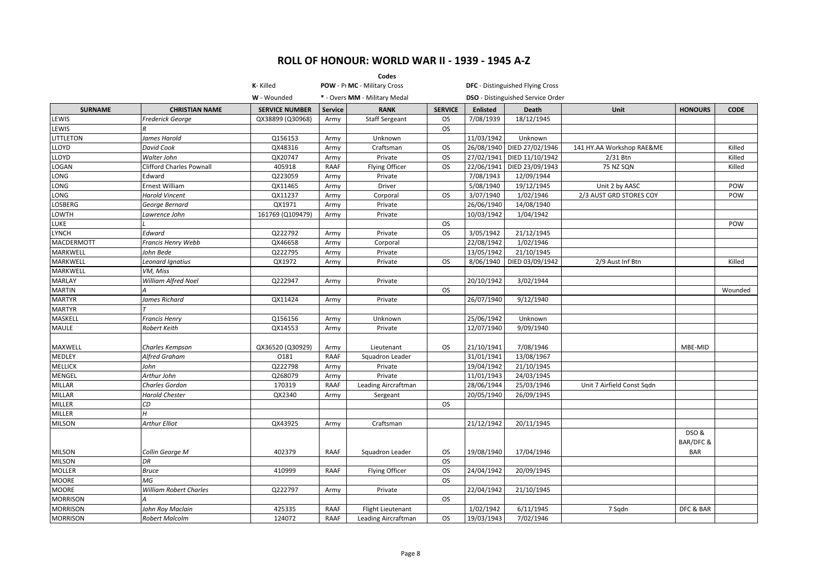| K-Killed<br>POW - Pr MC - Military Cross<br><b>DFC</b> - Distinguished Flying Cross<br>W - Wounded<br>* - Overs MM - Military Medal<br><b>DSO</b> - Distinguished Service Order<br><b>SURNAME</b><br><b>SERVICE NUMBER</b><br><b>RANK</b><br><b>SERVICE</b><br><b>Enlisted</b><br><b>HONOURS</b><br><b>CODE</b><br><b>CHRISTIAN NAME</b><br><b>Service</b><br>Death<br>Unit<br>LEWIS<br>7/08/1939<br>18/12/1945<br>Frederick George<br>QX38899 (Q30968)<br><b>Staff Sergeant</b><br>Army<br><b>OS</b><br>LEWIS<br><b>OS</b><br>11/03/1942<br><b>LITTLETON</b><br>James Harold<br>Q156153<br>Unknown<br>Unknown<br>Army<br>LLOYD<br>DIED 27/02/1946<br>David Cook<br>QX48316<br>Craftsman<br><b>OS</b><br>26/08/1940<br>141 HY.AA Workshop RAE&ME<br>Killed<br>Army<br>DIED 11/10/1942<br>LLOYD<br>Walter John<br>QX20747<br>Private<br><b>OS</b><br>27/02/1941<br>2/31 Btn<br>Killed<br>Army<br><b>LOGAN</b><br>Flying Officer<br>22/06/1941<br>DIED 23/09/1943<br>75 NZ SQN<br>Clifford Charles Pownall<br>405918<br><b>RAAF</b><br><b>OS</b><br>Killed<br>7/08/1943<br>LONG<br>Q223059<br>Private<br>12/09/1944<br>Edward<br>Army<br>19/12/1945<br>Unit 2 by AASC<br>LONG<br>Ernest William<br>Driver<br>5/08/1940<br>POW<br>QX11465<br>Army<br>LONG<br><b>Harold Vincent</b><br>QX11237<br>Corporal<br><b>OS</b><br>3/07/1940<br>1/02/1946<br>2/3 AUST GRD STORES COY<br>POW<br>Army<br>14/08/1940<br><b>LOSBERG</b><br>QX1971<br>Private<br>26/06/1940<br>George Bernard<br>Army<br>10/03/1942<br><b>LOWTH</b><br>Lawrence John<br>161769 (Q109479)<br>Private<br>1/04/1942<br>Army<br><b>LUKE</b><br><b>OS</b><br>POW<br>21/12/1945<br><b>LYNCH</b><br>Edward<br>Q222792<br><b>OS</b><br>3/05/1942<br>Private<br>Army<br><b>MACDERMOTT</b><br>QX46658<br>22/08/1942<br>1/02/1946<br>Francis Henry Webb<br>Corporal<br>Army<br>21/10/1945<br>MARKWELL<br>Q222795<br>13/05/1942<br>John Bede<br>Private<br>Army<br>MARKWELL<br>DIED 03/09/1942<br>Leonard Ignatius<br>QX1972<br>Private<br><b>OS</b><br>8/06/1940<br>2/9 Aust Inf Btn<br>Killed<br>Army<br><b>MARKWELL</b><br>VM, Miss<br><b>MARLAY</b><br>Q222947<br>20/10/1942<br>3/02/1944<br>William Alfred Noel<br>Army<br>Private<br><b>MARTIN</b><br><b>OS</b><br>Wounded<br><b>MARTYR</b><br>James Richard<br>QX11424<br>26/07/1940<br>9/12/1940<br>Private<br>Army<br><b>MARTYR</b><br>MASKELL<br>Q156156<br>25/06/1942<br>Unknown<br><b>Francis Henry</b><br>Unknown<br>Army<br><b>MAULE</b><br>12/07/1940<br>9/09/1940<br>Robert Keith<br>QX14553<br>Private<br>Army<br>7/08/1946<br>MAXWELL<br>Charles Kempson<br>QX36520 (Q30929)<br>OS.<br>21/10/1941<br>MBE-MID<br>Army<br>Lieutenant<br>31/01/1941<br>13/08/1967<br><b>MEDLEY</b><br>Alfred Graham<br>0181<br><b>RAAF</b><br>Squadron Leader<br><b>MELLICK</b><br>John<br>Q222798<br>19/04/1942<br>21/10/1945<br>Private<br>Army<br><b>MENGEL</b><br>Arthur John<br>Q268079<br>Private<br>11/01/1943<br>24/03/1945<br>Army<br>25/03/1946<br><b>MILLAR</b><br><b>Charles Gordon</b><br>170319<br><b>RAAF</b><br>Leading Aircraftman<br>28/06/1944<br>Unit 7 Airfield Const Sqdn<br><b>MILLAR</b><br>20/05/1940<br>26/09/1945<br><b>Harold Chester</b><br>QX2340<br>Army<br>Sergeant<br>MILLER<br>СD<br><b>OS</b><br><b>MILLER</b><br><b>MILSON</b><br>Arthur Elliot<br>QX43925<br>Craftsman<br>21/12/1942<br>20/11/1945<br>Army<br>DSO &<br>BAR/DFC &<br>402379<br><b>BAR</b><br><b>MILSON</b><br>Collin George M<br>RAAF<br>Squadron Leader<br>OS.<br>19/08/1940<br>17/04/1946<br><b>MILSON</b><br>DR<br><b>OS</b><br><b>MOLLER</b><br><b>Bruce</b><br>410999<br><b>RAAF</b><br>Flying Officer<br>OS.<br>24/04/1942<br>20/09/1945<br>MG<br><b>MOORE</b><br><b>OS</b><br>22/04/1942<br><b>MOORE</b><br><b>William Robert Charles</b><br>Q222797<br>21/10/1945<br>Private<br>Army<br><b>MORRISON</b><br><b>OS</b><br><b>MORRISON</b><br>6/11/1945<br>425335<br><b>RAAF</b><br>1/02/1942<br>DFC & BAR<br>John Roy Maclain<br>Flight Lieutenant<br>7 Sqdn<br><b>MORRISON</b><br><b>Robert Malcolm</b><br>124072<br>19/03/1943<br>7/02/1946<br>RAAF<br>Leading Aircraftman<br><b>OS</b> |  |  | Codes |  |  |  |
|-------------------------------------------------------------------------------------------------------------------------------------------------------------------------------------------------------------------------------------------------------------------------------------------------------------------------------------------------------------------------------------------------------------------------------------------------------------------------------------------------------------------------------------------------------------------------------------------------------------------------------------------------------------------------------------------------------------------------------------------------------------------------------------------------------------------------------------------------------------------------------------------------------------------------------------------------------------------------------------------------------------------------------------------------------------------------------------------------------------------------------------------------------------------------------------------------------------------------------------------------------------------------------------------------------------------------------------------------------------------------------------------------------------------------------------------------------------------------------------------------------------------------------------------------------------------------------------------------------------------------------------------------------------------------------------------------------------------------------------------------------------------------------------------------------------------------------------------------------------------------------------------------------------------------------------------------------------------------------------------------------------------------------------------------------------------------------------------------------------------------------------------------------------------------------------------------------------------------------------------------------------------------------------------------------------------------------------------------------------------------------------------------------------------------------------------------------------------------------------------------------------------------------------------------------------------------------------------------------------------------------------------------------------------------------------------------------------------------------------------------------------------------------------------------------------------------------------------------------------------------------------------------------------------------------------------------------------------------------------------------------------------------------------------------------------------------------------------------------------------------------------------------------------------------------------------------------------------------------------------------------------------------------------------------------------------------------------------------------------------------------------------------------------------------------------------------------------------------------------------------------------------------------------------------------------------------------------------------------------------------------------------------------------------------------------------------------------------------------------------------------------------------------------------------------------------------------------------------------------------------------------------------------------------------------------------------------------------------------------------------------------------------------------------------------------------------------------------------------|--|--|-------|--|--|--|
|                                                                                                                                                                                                                                                                                                                                                                                                                                                                                                                                                                                                                                                                                                                                                                                                                                                                                                                                                                                                                                                                                                                                                                                                                                                                                                                                                                                                                                                                                                                                                                                                                                                                                                                                                                                                                                                                                                                                                                                                                                                                                                                                                                                                                                                                                                                                                                                                                                                                                                                                                                                                                                                                                                                                                                                                                                                                                                                                                                                                                                                                                                                                                                                                                                                                                                                                                                                                                                                                                                                                                                                                                                                                                                                                                                                                                                                                                                                                                                                                                                                                                                       |  |  |       |  |  |  |
|                                                                                                                                                                                                                                                                                                                                                                                                                                                                                                                                                                                                                                                                                                                                                                                                                                                                                                                                                                                                                                                                                                                                                                                                                                                                                                                                                                                                                                                                                                                                                                                                                                                                                                                                                                                                                                                                                                                                                                                                                                                                                                                                                                                                                                                                                                                                                                                                                                                                                                                                                                                                                                                                                                                                                                                                                                                                                                                                                                                                                                                                                                                                                                                                                                                                                                                                                                                                                                                                                                                                                                                                                                                                                                                                                                                                                                                                                                                                                                                                                                                                                                       |  |  |       |  |  |  |
|                                                                                                                                                                                                                                                                                                                                                                                                                                                                                                                                                                                                                                                                                                                                                                                                                                                                                                                                                                                                                                                                                                                                                                                                                                                                                                                                                                                                                                                                                                                                                                                                                                                                                                                                                                                                                                                                                                                                                                                                                                                                                                                                                                                                                                                                                                                                                                                                                                                                                                                                                                                                                                                                                                                                                                                                                                                                                                                                                                                                                                                                                                                                                                                                                                                                                                                                                                                                                                                                                                                                                                                                                                                                                                                                                                                                                                                                                                                                                                                                                                                                                                       |  |  |       |  |  |  |
|                                                                                                                                                                                                                                                                                                                                                                                                                                                                                                                                                                                                                                                                                                                                                                                                                                                                                                                                                                                                                                                                                                                                                                                                                                                                                                                                                                                                                                                                                                                                                                                                                                                                                                                                                                                                                                                                                                                                                                                                                                                                                                                                                                                                                                                                                                                                                                                                                                                                                                                                                                                                                                                                                                                                                                                                                                                                                                                                                                                                                                                                                                                                                                                                                                                                                                                                                                                                                                                                                                                                                                                                                                                                                                                                                                                                                                                                                                                                                                                                                                                                                                       |  |  |       |  |  |  |
|                                                                                                                                                                                                                                                                                                                                                                                                                                                                                                                                                                                                                                                                                                                                                                                                                                                                                                                                                                                                                                                                                                                                                                                                                                                                                                                                                                                                                                                                                                                                                                                                                                                                                                                                                                                                                                                                                                                                                                                                                                                                                                                                                                                                                                                                                                                                                                                                                                                                                                                                                                                                                                                                                                                                                                                                                                                                                                                                                                                                                                                                                                                                                                                                                                                                                                                                                                                                                                                                                                                                                                                                                                                                                                                                                                                                                                                                                                                                                                                                                                                                                                       |  |  |       |  |  |  |
|                                                                                                                                                                                                                                                                                                                                                                                                                                                                                                                                                                                                                                                                                                                                                                                                                                                                                                                                                                                                                                                                                                                                                                                                                                                                                                                                                                                                                                                                                                                                                                                                                                                                                                                                                                                                                                                                                                                                                                                                                                                                                                                                                                                                                                                                                                                                                                                                                                                                                                                                                                                                                                                                                                                                                                                                                                                                                                                                                                                                                                                                                                                                                                                                                                                                                                                                                                                                                                                                                                                                                                                                                                                                                                                                                                                                                                                                                                                                                                                                                                                                                                       |  |  |       |  |  |  |
|                                                                                                                                                                                                                                                                                                                                                                                                                                                                                                                                                                                                                                                                                                                                                                                                                                                                                                                                                                                                                                                                                                                                                                                                                                                                                                                                                                                                                                                                                                                                                                                                                                                                                                                                                                                                                                                                                                                                                                                                                                                                                                                                                                                                                                                                                                                                                                                                                                                                                                                                                                                                                                                                                                                                                                                                                                                                                                                                                                                                                                                                                                                                                                                                                                                                                                                                                                                                                                                                                                                                                                                                                                                                                                                                                                                                                                                                                                                                                                                                                                                                                                       |  |  |       |  |  |  |
|                                                                                                                                                                                                                                                                                                                                                                                                                                                                                                                                                                                                                                                                                                                                                                                                                                                                                                                                                                                                                                                                                                                                                                                                                                                                                                                                                                                                                                                                                                                                                                                                                                                                                                                                                                                                                                                                                                                                                                                                                                                                                                                                                                                                                                                                                                                                                                                                                                                                                                                                                                                                                                                                                                                                                                                                                                                                                                                                                                                                                                                                                                                                                                                                                                                                                                                                                                                                                                                                                                                                                                                                                                                                                                                                                                                                                                                                                                                                                                                                                                                                                                       |  |  |       |  |  |  |
|                                                                                                                                                                                                                                                                                                                                                                                                                                                                                                                                                                                                                                                                                                                                                                                                                                                                                                                                                                                                                                                                                                                                                                                                                                                                                                                                                                                                                                                                                                                                                                                                                                                                                                                                                                                                                                                                                                                                                                                                                                                                                                                                                                                                                                                                                                                                                                                                                                                                                                                                                                                                                                                                                                                                                                                                                                                                                                                                                                                                                                                                                                                                                                                                                                                                                                                                                                                                                                                                                                                                                                                                                                                                                                                                                                                                                                                                                                                                                                                                                                                                                                       |  |  |       |  |  |  |
|                                                                                                                                                                                                                                                                                                                                                                                                                                                                                                                                                                                                                                                                                                                                                                                                                                                                                                                                                                                                                                                                                                                                                                                                                                                                                                                                                                                                                                                                                                                                                                                                                                                                                                                                                                                                                                                                                                                                                                                                                                                                                                                                                                                                                                                                                                                                                                                                                                                                                                                                                                                                                                                                                                                                                                                                                                                                                                                                                                                                                                                                                                                                                                                                                                                                                                                                                                                                                                                                                                                                                                                                                                                                                                                                                                                                                                                                                                                                                                                                                                                                                                       |  |  |       |  |  |  |
|                                                                                                                                                                                                                                                                                                                                                                                                                                                                                                                                                                                                                                                                                                                                                                                                                                                                                                                                                                                                                                                                                                                                                                                                                                                                                                                                                                                                                                                                                                                                                                                                                                                                                                                                                                                                                                                                                                                                                                                                                                                                                                                                                                                                                                                                                                                                                                                                                                                                                                                                                                                                                                                                                                                                                                                                                                                                                                                                                                                                                                                                                                                                                                                                                                                                                                                                                                                                                                                                                                                                                                                                                                                                                                                                                                                                                                                                                                                                                                                                                                                                                                       |  |  |       |  |  |  |
|                                                                                                                                                                                                                                                                                                                                                                                                                                                                                                                                                                                                                                                                                                                                                                                                                                                                                                                                                                                                                                                                                                                                                                                                                                                                                                                                                                                                                                                                                                                                                                                                                                                                                                                                                                                                                                                                                                                                                                                                                                                                                                                                                                                                                                                                                                                                                                                                                                                                                                                                                                                                                                                                                                                                                                                                                                                                                                                                                                                                                                                                                                                                                                                                                                                                                                                                                                                                                                                                                                                                                                                                                                                                                                                                                                                                                                                                                                                                                                                                                                                                                                       |  |  |       |  |  |  |
|                                                                                                                                                                                                                                                                                                                                                                                                                                                                                                                                                                                                                                                                                                                                                                                                                                                                                                                                                                                                                                                                                                                                                                                                                                                                                                                                                                                                                                                                                                                                                                                                                                                                                                                                                                                                                                                                                                                                                                                                                                                                                                                                                                                                                                                                                                                                                                                                                                                                                                                                                                                                                                                                                                                                                                                                                                                                                                                                                                                                                                                                                                                                                                                                                                                                                                                                                                                                                                                                                                                                                                                                                                                                                                                                                                                                                                                                                                                                                                                                                                                                                                       |  |  |       |  |  |  |
|                                                                                                                                                                                                                                                                                                                                                                                                                                                                                                                                                                                                                                                                                                                                                                                                                                                                                                                                                                                                                                                                                                                                                                                                                                                                                                                                                                                                                                                                                                                                                                                                                                                                                                                                                                                                                                                                                                                                                                                                                                                                                                                                                                                                                                                                                                                                                                                                                                                                                                                                                                                                                                                                                                                                                                                                                                                                                                                                                                                                                                                                                                                                                                                                                                                                                                                                                                                                                                                                                                                                                                                                                                                                                                                                                                                                                                                                                                                                                                                                                                                                                                       |  |  |       |  |  |  |
|                                                                                                                                                                                                                                                                                                                                                                                                                                                                                                                                                                                                                                                                                                                                                                                                                                                                                                                                                                                                                                                                                                                                                                                                                                                                                                                                                                                                                                                                                                                                                                                                                                                                                                                                                                                                                                                                                                                                                                                                                                                                                                                                                                                                                                                                                                                                                                                                                                                                                                                                                                                                                                                                                                                                                                                                                                                                                                                                                                                                                                                                                                                                                                                                                                                                                                                                                                                                                                                                                                                                                                                                                                                                                                                                                                                                                                                                                                                                                                                                                                                                                                       |  |  |       |  |  |  |
|                                                                                                                                                                                                                                                                                                                                                                                                                                                                                                                                                                                                                                                                                                                                                                                                                                                                                                                                                                                                                                                                                                                                                                                                                                                                                                                                                                                                                                                                                                                                                                                                                                                                                                                                                                                                                                                                                                                                                                                                                                                                                                                                                                                                                                                                                                                                                                                                                                                                                                                                                                                                                                                                                                                                                                                                                                                                                                                                                                                                                                                                                                                                                                                                                                                                                                                                                                                                                                                                                                                                                                                                                                                                                                                                                                                                                                                                                                                                                                                                                                                                                                       |  |  |       |  |  |  |
|                                                                                                                                                                                                                                                                                                                                                                                                                                                                                                                                                                                                                                                                                                                                                                                                                                                                                                                                                                                                                                                                                                                                                                                                                                                                                                                                                                                                                                                                                                                                                                                                                                                                                                                                                                                                                                                                                                                                                                                                                                                                                                                                                                                                                                                                                                                                                                                                                                                                                                                                                                                                                                                                                                                                                                                                                                                                                                                                                                                                                                                                                                                                                                                                                                                                                                                                                                                                                                                                                                                                                                                                                                                                                                                                                                                                                                                                                                                                                                                                                                                                                                       |  |  |       |  |  |  |
|                                                                                                                                                                                                                                                                                                                                                                                                                                                                                                                                                                                                                                                                                                                                                                                                                                                                                                                                                                                                                                                                                                                                                                                                                                                                                                                                                                                                                                                                                                                                                                                                                                                                                                                                                                                                                                                                                                                                                                                                                                                                                                                                                                                                                                                                                                                                                                                                                                                                                                                                                                                                                                                                                                                                                                                                                                                                                                                                                                                                                                                                                                                                                                                                                                                                                                                                                                                                                                                                                                                                                                                                                                                                                                                                                                                                                                                                                                                                                                                                                                                                                                       |  |  |       |  |  |  |
|                                                                                                                                                                                                                                                                                                                                                                                                                                                                                                                                                                                                                                                                                                                                                                                                                                                                                                                                                                                                                                                                                                                                                                                                                                                                                                                                                                                                                                                                                                                                                                                                                                                                                                                                                                                                                                                                                                                                                                                                                                                                                                                                                                                                                                                                                                                                                                                                                                                                                                                                                                                                                                                                                                                                                                                                                                                                                                                                                                                                                                                                                                                                                                                                                                                                                                                                                                                                                                                                                                                                                                                                                                                                                                                                                                                                                                                                                                                                                                                                                                                                                                       |  |  |       |  |  |  |
|                                                                                                                                                                                                                                                                                                                                                                                                                                                                                                                                                                                                                                                                                                                                                                                                                                                                                                                                                                                                                                                                                                                                                                                                                                                                                                                                                                                                                                                                                                                                                                                                                                                                                                                                                                                                                                                                                                                                                                                                                                                                                                                                                                                                                                                                                                                                                                                                                                                                                                                                                                                                                                                                                                                                                                                                                                                                                                                                                                                                                                                                                                                                                                                                                                                                                                                                                                                                                                                                                                                                                                                                                                                                                                                                                                                                                                                                                                                                                                                                                                                                                                       |  |  |       |  |  |  |
|                                                                                                                                                                                                                                                                                                                                                                                                                                                                                                                                                                                                                                                                                                                                                                                                                                                                                                                                                                                                                                                                                                                                                                                                                                                                                                                                                                                                                                                                                                                                                                                                                                                                                                                                                                                                                                                                                                                                                                                                                                                                                                                                                                                                                                                                                                                                                                                                                                                                                                                                                                                                                                                                                                                                                                                                                                                                                                                                                                                                                                                                                                                                                                                                                                                                                                                                                                                                                                                                                                                                                                                                                                                                                                                                                                                                                                                                                                                                                                                                                                                                                                       |  |  |       |  |  |  |
|                                                                                                                                                                                                                                                                                                                                                                                                                                                                                                                                                                                                                                                                                                                                                                                                                                                                                                                                                                                                                                                                                                                                                                                                                                                                                                                                                                                                                                                                                                                                                                                                                                                                                                                                                                                                                                                                                                                                                                                                                                                                                                                                                                                                                                                                                                                                                                                                                                                                                                                                                                                                                                                                                                                                                                                                                                                                                                                                                                                                                                                                                                                                                                                                                                                                                                                                                                                                                                                                                                                                                                                                                                                                                                                                                                                                                                                                                                                                                                                                                                                                                                       |  |  |       |  |  |  |
|                                                                                                                                                                                                                                                                                                                                                                                                                                                                                                                                                                                                                                                                                                                                                                                                                                                                                                                                                                                                                                                                                                                                                                                                                                                                                                                                                                                                                                                                                                                                                                                                                                                                                                                                                                                                                                                                                                                                                                                                                                                                                                                                                                                                                                                                                                                                                                                                                                                                                                                                                                                                                                                                                                                                                                                                                                                                                                                                                                                                                                                                                                                                                                                                                                                                                                                                                                                                                                                                                                                                                                                                                                                                                                                                                                                                                                                                                                                                                                                                                                                                                                       |  |  |       |  |  |  |
|                                                                                                                                                                                                                                                                                                                                                                                                                                                                                                                                                                                                                                                                                                                                                                                                                                                                                                                                                                                                                                                                                                                                                                                                                                                                                                                                                                                                                                                                                                                                                                                                                                                                                                                                                                                                                                                                                                                                                                                                                                                                                                                                                                                                                                                                                                                                                                                                                                                                                                                                                                                                                                                                                                                                                                                                                                                                                                                                                                                                                                                                                                                                                                                                                                                                                                                                                                                                                                                                                                                                                                                                                                                                                                                                                                                                                                                                                                                                                                                                                                                                                                       |  |  |       |  |  |  |
|                                                                                                                                                                                                                                                                                                                                                                                                                                                                                                                                                                                                                                                                                                                                                                                                                                                                                                                                                                                                                                                                                                                                                                                                                                                                                                                                                                                                                                                                                                                                                                                                                                                                                                                                                                                                                                                                                                                                                                                                                                                                                                                                                                                                                                                                                                                                                                                                                                                                                                                                                                                                                                                                                                                                                                                                                                                                                                                                                                                                                                                                                                                                                                                                                                                                                                                                                                                                                                                                                                                                                                                                                                                                                                                                                                                                                                                                                                                                                                                                                                                                                                       |  |  |       |  |  |  |
|                                                                                                                                                                                                                                                                                                                                                                                                                                                                                                                                                                                                                                                                                                                                                                                                                                                                                                                                                                                                                                                                                                                                                                                                                                                                                                                                                                                                                                                                                                                                                                                                                                                                                                                                                                                                                                                                                                                                                                                                                                                                                                                                                                                                                                                                                                                                                                                                                                                                                                                                                                                                                                                                                                                                                                                                                                                                                                                                                                                                                                                                                                                                                                                                                                                                                                                                                                                                                                                                                                                                                                                                                                                                                                                                                                                                                                                                                                                                                                                                                                                                                                       |  |  |       |  |  |  |
|                                                                                                                                                                                                                                                                                                                                                                                                                                                                                                                                                                                                                                                                                                                                                                                                                                                                                                                                                                                                                                                                                                                                                                                                                                                                                                                                                                                                                                                                                                                                                                                                                                                                                                                                                                                                                                                                                                                                                                                                                                                                                                                                                                                                                                                                                                                                                                                                                                                                                                                                                                                                                                                                                                                                                                                                                                                                                                                                                                                                                                                                                                                                                                                                                                                                                                                                                                                                                                                                                                                                                                                                                                                                                                                                                                                                                                                                                                                                                                                                                                                                                                       |  |  |       |  |  |  |
|                                                                                                                                                                                                                                                                                                                                                                                                                                                                                                                                                                                                                                                                                                                                                                                                                                                                                                                                                                                                                                                                                                                                                                                                                                                                                                                                                                                                                                                                                                                                                                                                                                                                                                                                                                                                                                                                                                                                                                                                                                                                                                                                                                                                                                                                                                                                                                                                                                                                                                                                                                                                                                                                                                                                                                                                                                                                                                                                                                                                                                                                                                                                                                                                                                                                                                                                                                                                                                                                                                                                                                                                                                                                                                                                                                                                                                                                                                                                                                                                                                                                                                       |  |  |       |  |  |  |
|                                                                                                                                                                                                                                                                                                                                                                                                                                                                                                                                                                                                                                                                                                                                                                                                                                                                                                                                                                                                                                                                                                                                                                                                                                                                                                                                                                                                                                                                                                                                                                                                                                                                                                                                                                                                                                                                                                                                                                                                                                                                                                                                                                                                                                                                                                                                                                                                                                                                                                                                                                                                                                                                                                                                                                                                                                                                                                                                                                                                                                                                                                                                                                                                                                                                                                                                                                                                                                                                                                                                                                                                                                                                                                                                                                                                                                                                                                                                                                                                                                                                                                       |  |  |       |  |  |  |
|                                                                                                                                                                                                                                                                                                                                                                                                                                                                                                                                                                                                                                                                                                                                                                                                                                                                                                                                                                                                                                                                                                                                                                                                                                                                                                                                                                                                                                                                                                                                                                                                                                                                                                                                                                                                                                                                                                                                                                                                                                                                                                                                                                                                                                                                                                                                                                                                                                                                                                                                                                                                                                                                                                                                                                                                                                                                                                                                                                                                                                                                                                                                                                                                                                                                                                                                                                                                                                                                                                                                                                                                                                                                                                                                                                                                                                                                                                                                                                                                                                                                                                       |  |  |       |  |  |  |
|                                                                                                                                                                                                                                                                                                                                                                                                                                                                                                                                                                                                                                                                                                                                                                                                                                                                                                                                                                                                                                                                                                                                                                                                                                                                                                                                                                                                                                                                                                                                                                                                                                                                                                                                                                                                                                                                                                                                                                                                                                                                                                                                                                                                                                                                                                                                                                                                                                                                                                                                                                                                                                                                                                                                                                                                                                                                                                                                                                                                                                                                                                                                                                                                                                                                                                                                                                                                                                                                                                                                                                                                                                                                                                                                                                                                                                                                                                                                                                                                                                                                                                       |  |  |       |  |  |  |
|                                                                                                                                                                                                                                                                                                                                                                                                                                                                                                                                                                                                                                                                                                                                                                                                                                                                                                                                                                                                                                                                                                                                                                                                                                                                                                                                                                                                                                                                                                                                                                                                                                                                                                                                                                                                                                                                                                                                                                                                                                                                                                                                                                                                                                                                                                                                                                                                                                                                                                                                                                                                                                                                                                                                                                                                                                                                                                                                                                                                                                                                                                                                                                                                                                                                                                                                                                                                                                                                                                                                                                                                                                                                                                                                                                                                                                                                                                                                                                                                                                                                                                       |  |  |       |  |  |  |
|                                                                                                                                                                                                                                                                                                                                                                                                                                                                                                                                                                                                                                                                                                                                                                                                                                                                                                                                                                                                                                                                                                                                                                                                                                                                                                                                                                                                                                                                                                                                                                                                                                                                                                                                                                                                                                                                                                                                                                                                                                                                                                                                                                                                                                                                                                                                                                                                                                                                                                                                                                                                                                                                                                                                                                                                                                                                                                                                                                                                                                                                                                                                                                                                                                                                                                                                                                                                                                                                                                                                                                                                                                                                                                                                                                                                                                                                                                                                                                                                                                                                                                       |  |  |       |  |  |  |
|                                                                                                                                                                                                                                                                                                                                                                                                                                                                                                                                                                                                                                                                                                                                                                                                                                                                                                                                                                                                                                                                                                                                                                                                                                                                                                                                                                                                                                                                                                                                                                                                                                                                                                                                                                                                                                                                                                                                                                                                                                                                                                                                                                                                                                                                                                                                                                                                                                                                                                                                                                                                                                                                                                                                                                                                                                                                                                                                                                                                                                                                                                                                                                                                                                                                                                                                                                                                                                                                                                                                                                                                                                                                                                                                                                                                                                                                                                                                                                                                                                                                                                       |  |  |       |  |  |  |
|                                                                                                                                                                                                                                                                                                                                                                                                                                                                                                                                                                                                                                                                                                                                                                                                                                                                                                                                                                                                                                                                                                                                                                                                                                                                                                                                                                                                                                                                                                                                                                                                                                                                                                                                                                                                                                                                                                                                                                                                                                                                                                                                                                                                                                                                                                                                                                                                                                                                                                                                                                                                                                                                                                                                                                                                                                                                                                                                                                                                                                                                                                                                                                                                                                                                                                                                                                                                                                                                                                                                                                                                                                                                                                                                                                                                                                                                                                                                                                                                                                                                                                       |  |  |       |  |  |  |
|                                                                                                                                                                                                                                                                                                                                                                                                                                                                                                                                                                                                                                                                                                                                                                                                                                                                                                                                                                                                                                                                                                                                                                                                                                                                                                                                                                                                                                                                                                                                                                                                                                                                                                                                                                                                                                                                                                                                                                                                                                                                                                                                                                                                                                                                                                                                                                                                                                                                                                                                                                                                                                                                                                                                                                                                                                                                                                                                                                                                                                                                                                                                                                                                                                                                                                                                                                                                                                                                                                                                                                                                                                                                                                                                                                                                                                                                                                                                                                                                                                                                                                       |  |  |       |  |  |  |
|                                                                                                                                                                                                                                                                                                                                                                                                                                                                                                                                                                                                                                                                                                                                                                                                                                                                                                                                                                                                                                                                                                                                                                                                                                                                                                                                                                                                                                                                                                                                                                                                                                                                                                                                                                                                                                                                                                                                                                                                                                                                                                                                                                                                                                                                                                                                                                                                                                                                                                                                                                                                                                                                                                                                                                                                                                                                                                                                                                                                                                                                                                                                                                                                                                                                                                                                                                                                                                                                                                                                                                                                                                                                                                                                                                                                                                                                                                                                                                                                                                                                                                       |  |  |       |  |  |  |
|                                                                                                                                                                                                                                                                                                                                                                                                                                                                                                                                                                                                                                                                                                                                                                                                                                                                                                                                                                                                                                                                                                                                                                                                                                                                                                                                                                                                                                                                                                                                                                                                                                                                                                                                                                                                                                                                                                                                                                                                                                                                                                                                                                                                                                                                                                                                                                                                                                                                                                                                                                                                                                                                                                                                                                                                                                                                                                                                                                                                                                                                                                                                                                                                                                                                                                                                                                                                                                                                                                                                                                                                                                                                                                                                                                                                                                                                                                                                                                                                                                                                                                       |  |  |       |  |  |  |
|                                                                                                                                                                                                                                                                                                                                                                                                                                                                                                                                                                                                                                                                                                                                                                                                                                                                                                                                                                                                                                                                                                                                                                                                                                                                                                                                                                                                                                                                                                                                                                                                                                                                                                                                                                                                                                                                                                                                                                                                                                                                                                                                                                                                                                                                                                                                                                                                                                                                                                                                                                                                                                                                                                                                                                                                                                                                                                                                                                                                                                                                                                                                                                                                                                                                                                                                                                                                                                                                                                                                                                                                                                                                                                                                                                                                                                                                                                                                                                                                                                                                                                       |  |  |       |  |  |  |
|                                                                                                                                                                                                                                                                                                                                                                                                                                                                                                                                                                                                                                                                                                                                                                                                                                                                                                                                                                                                                                                                                                                                                                                                                                                                                                                                                                                                                                                                                                                                                                                                                                                                                                                                                                                                                                                                                                                                                                                                                                                                                                                                                                                                                                                                                                                                                                                                                                                                                                                                                                                                                                                                                                                                                                                                                                                                                                                                                                                                                                                                                                                                                                                                                                                                                                                                                                                                                                                                                                                                                                                                                                                                                                                                                                                                                                                                                                                                                                                                                                                                                                       |  |  |       |  |  |  |
|                                                                                                                                                                                                                                                                                                                                                                                                                                                                                                                                                                                                                                                                                                                                                                                                                                                                                                                                                                                                                                                                                                                                                                                                                                                                                                                                                                                                                                                                                                                                                                                                                                                                                                                                                                                                                                                                                                                                                                                                                                                                                                                                                                                                                                                                                                                                                                                                                                                                                                                                                                                                                                                                                                                                                                                                                                                                                                                                                                                                                                                                                                                                                                                                                                                                                                                                                                                                                                                                                                                                                                                                                                                                                                                                                                                                                                                                                                                                                                                                                                                                                                       |  |  |       |  |  |  |
|                                                                                                                                                                                                                                                                                                                                                                                                                                                                                                                                                                                                                                                                                                                                                                                                                                                                                                                                                                                                                                                                                                                                                                                                                                                                                                                                                                                                                                                                                                                                                                                                                                                                                                                                                                                                                                                                                                                                                                                                                                                                                                                                                                                                                                                                                                                                                                                                                                                                                                                                                                                                                                                                                                                                                                                                                                                                                                                                                                                                                                                                                                                                                                                                                                                                                                                                                                                                                                                                                                                                                                                                                                                                                                                                                                                                                                                                                                                                                                                                                                                                                                       |  |  |       |  |  |  |
|                                                                                                                                                                                                                                                                                                                                                                                                                                                                                                                                                                                                                                                                                                                                                                                                                                                                                                                                                                                                                                                                                                                                                                                                                                                                                                                                                                                                                                                                                                                                                                                                                                                                                                                                                                                                                                                                                                                                                                                                                                                                                                                                                                                                                                                                                                                                                                                                                                                                                                                                                                                                                                                                                                                                                                                                                                                                                                                                                                                                                                                                                                                                                                                                                                                                                                                                                                                                                                                                                                                                                                                                                                                                                                                                                                                                                                                                                                                                                                                                                                                                                                       |  |  |       |  |  |  |
|                                                                                                                                                                                                                                                                                                                                                                                                                                                                                                                                                                                                                                                                                                                                                                                                                                                                                                                                                                                                                                                                                                                                                                                                                                                                                                                                                                                                                                                                                                                                                                                                                                                                                                                                                                                                                                                                                                                                                                                                                                                                                                                                                                                                                                                                                                                                                                                                                                                                                                                                                                                                                                                                                                                                                                                                                                                                                                                                                                                                                                                                                                                                                                                                                                                                                                                                                                                                                                                                                                                                                                                                                                                                                                                                                                                                                                                                                                                                                                                                                                                                                                       |  |  |       |  |  |  |
|                                                                                                                                                                                                                                                                                                                                                                                                                                                                                                                                                                                                                                                                                                                                                                                                                                                                                                                                                                                                                                                                                                                                                                                                                                                                                                                                                                                                                                                                                                                                                                                                                                                                                                                                                                                                                                                                                                                                                                                                                                                                                                                                                                                                                                                                                                                                                                                                                                                                                                                                                                                                                                                                                                                                                                                                                                                                                                                                                                                                                                                                                                                                                                                                                                                                                                                                                                                                                                                                                                                                                                                                                                                                                                                                                                                                                                                                                                                                                                                                                                                                                                       |  |  |       |  |  |  |
|                                                                                                                                                                                                                                                                                                                                                                                                                                                                                                                                                                                                                                                                                                                                                                                                                                                                                                                                                                                                                                                                                                                                                                                                                                                                                                                                                                                                                                                                                                                                                                                                                                                                                                                                                                                                                                                                                                                                                                                                                                                                                                                                                                                                                                                                                                                                                                                                                                                                                                                                                                                                                                                                                                                                                                                                                                                                                                                                                                                                                                                                                                                                                                                                                                                                                                                                                                                                                                                                                                                                                                                                                                                                                                                                                                                                                                                                                                                                                                                                                                                                                                       |  |  |       |  |  |  |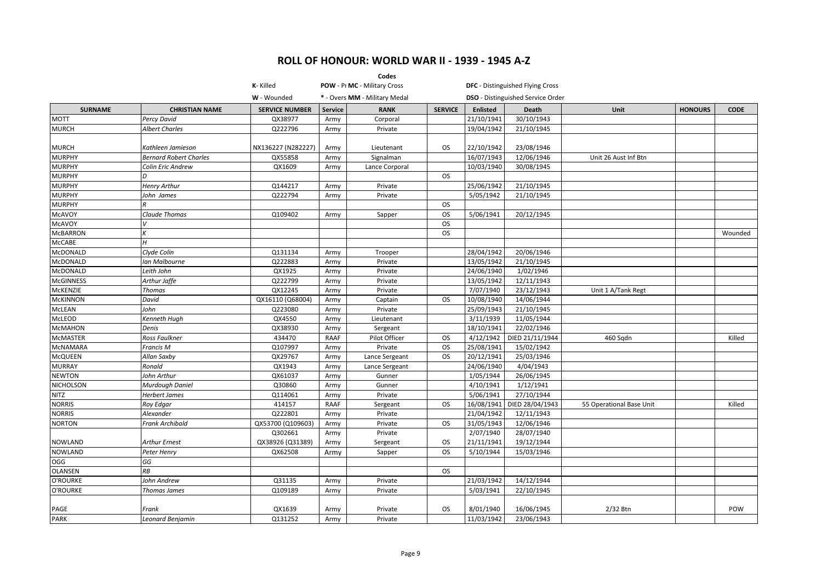|                  |                               |                       |         | Codes                         |                |                 |                                          |                          |                |             |
|------------------|-------------------------------|-----------------------|---------|-------------------------------|----------------|-----------------|------------------------------------------|--------------------------|----------------|-------------|
|                  |                               | K-Killed              |         | POW - Pr MC - Military Cross  |                |                 | <b>DFC</b> - Distinguished Flying Cross  |                          |                |             |
|                  |                               | W - Wounded           |         | * - Overs MM - Military Medal |                |                 | <b>DSO</b> - Distinguished Service Order |                          |                |             |
| <b>SURNAME</b>   | <b>CHRISTIAN NAME</b>         | <b>SERVICE NUMBER</b> | Service | <b>RANK</b>                   | <b>SERVICE</b> | <b>Enlisted</b> | Death                                    | Unit                     | <b>HONOURS</b> | <b>CODE</b> |
| <b>MOTT</b>      | Percy David                   | QX38977               | Army    | Corporal                      |                | 21/10/1941      | 30/10/1943                               |                          |                |             |
| <b>MURCH</b>     | <b>Albert Charles</b>         | Q222796               | Army    | Private                       |                | 19/04/1942      | 21/10/1945                               |                          |                |             |
|                  |                               |                       |         |                               |                |                 |                                          |                          |                |             |
| <b>MURCH</b>     | Kathleen Jamieson             | NX136227 (N282227)    | Army    | Lieutenant                    | <b>OS</b>      | 22/10/1942      | 23/08/1946                               |                          |                |             |
| <b>MURPHY</b>    | <b>Bernard Robert Charles</b> | QX55858               | Army    | Signalman                     |                | 16/07/1943      | 12/06/1946                               | Unit 26 Aust Inf Btn     |                |             |
| <b>MURPHY</b>    | Colin Eric Andrew             | QX1609                | Army    | Lance Corporal                |                | 10/03/1940      | 30/08/1945                               |                          |                |             |
| <b>MURPHY</b>    | D                             |                       |         |                               | <b>OS</b>      |                 |                                          |                          |                |             |
| <b>MURPHY</b>    | <b>Henry Arthur</b>           | Q144217               | Army    | Private                       |                | 25/06/1942      | 21/10/1945                               |                          |                |             |
| <b>MURPHY</b>    | John James                    | Q222794               | Army    | Private                       |                | 5/05/1942       | 21/10/1945                               |                          |                |             |
| <b>MURPHY</b>    |                               |                       |         |                               | <b>OS</b>      |                 |                                          |                          |                |             |
| McAVOY           | <b>Claude Thomas</b>          | Q109402               | Army    | Sapper                        | <b>OS</b>      | 5/06/1941       | 20/12/1945                               |                          |                |             |
| <b>McAVOY</b>    |                               |                       |         |                               | OS             |                 |                                          |                          |                |             |
| <b>McBARRON</b>  |                               |                       |         |                               | <b>OS</b>      |                 |                                          |                          |                | Wounded     |
| <b>McCABE</b>    | H                             |                       |         |                               |                |                 |                                          |                          |                |             |
| <b>McDONALD</b>  | Clyde Colin                   | Q131134               | Army    | Trooper                       |                | 28/04/1942      | 20/06/1946                               |                          |                |             |
| <b>McDONALD</b>  | Ian Malbourne                 | Q222883               | Army    | Private                       |                | 13/05/1942      | 21/10/1945                               |                          |                |             |
| McDONALD         | Leith John                    | QX1925                | Army    | Private                       |                | 24/06/1940      | 1/02/1946                                |                          |                |             |
| <b>McGINNESS</b> | Arthur Jaffe                  | Q222799               | Army    | Private                       |                | 13/05/1942      | 12/11/1943                               |                          |                |             |
| McKENZIE         | <b>Thomas</b>                 | QX12245               | Army    | Private                       |                | 7/07/1940       | 23/12/1943                               | Unit 1 A/Tank Regt       |                |             |
| <b>McKINNON</b>  | David                         | QX16110 (Q68004)      | Army    | Captain                       | <b>OS</b>      | 10/08/1940      | 14/06/1944                               |                          |                |             |
| <b>McLEAN</b>    | John                          | Q223080               | Army    | Private                       |                | 25/09/1943      | 21/10/1945                               |                          |                |             |
| McLEOD           | Kenneth Hugh                  | QX4550                | Army    | Lieutenant                    |                | 3/11/1939       | 11/05/1944                               |                          |                |             |
| <b>McMAHON</b>   | Denis                         | QX38930               | Army    | Sergeant                      |                | 18/10/1941      | 22/02/1946                               |                          |                |             |
| <b>McMASTER</b>  | Ross Faulkner                 | 434470                | RAAF    | Pilot Officer                 | <b>OS</b>      | 4/12/1942       | DIED 21/11/1944                          | 460 Sqdn                 |                | Killed      |
| <b>MCNAMARA</b>  | Francis M                     | Q107997               | Army    | Private                       | <b>OS</b>      | 25/08/1941      | 15/02/1942                               |                          |                |             |
| <b>McQUEEN</b>   | Allan Saxby                   | QX29767               | Army    | Lance Sergeant                | <b>OS</b>      | 20/12/1941      | 25/03/1946                               |                          |                |             |
| <b>MURRAY</b>    | Ronald                        | QX1943                | Army    | Lance Sergeant                |                | 24/06/1940      | 4/04/1943                                |                          |                |             |
| <b>NEWTON</b>    | John Arthur                   | QX61037               | Army    | Gunner                        |                | 1/05/1944       | 26/06/1945                               |                          |                |             |
| <b>NICHOLSON</b> | Murdough Daniel               | Q30860                | Army    | Gunner                        |                | 4/10/1941       | 1/12/1941                                |                          |                |             |
| NITZ             | <b>Herbert James</b>          | Q114061               | Army    | Private                       |                | 5/06/1941       | 27/10/1944                               |                          |                |             |
| <b>NORRIS</b>    | Roy Edgar                     | 414157                | RAAF    | Sergeant                      | <b>OS</b>      | 16/08/1941      | DIED 28/04/1943                          | 55 Operational Base Unit |                | Killed      |
| <b>NORRIS</b>    | Alexander                     | Q222801               | Army    | Private                       |                | 21/04/1942      | 12/11/1943                               |                          |                |             |
| <b>NORTON</b>    | <b>Frank Archibald</b>        | QX53700 (Q109603)     | Army    | Private                       | <b>OS</b>      | 31/05/1943      | 12/06/1946                               |                          |                |             |
|                  |                               | Q302661               | Army    | Private                       |                | 2/07/1940       | 28/07/1940                               |                          |                |             |
| <b>NOWLAND</b>   | <b>Arthur Ernest</b>          | QX38926 (Q31389)      | Army    | Sergeant                      | OS.            | 21/11/1941      | 19/12/1944                               |                          |                |             |
| <b>NOWLAND</b>   | Peter Henry                   | QX62508               | Army    | Sapper                        | <b>OS</b>      | 5/10/1944       | 15/03/1946                               |                          |                |             |
| OGG              | GG                            |                       |         |                               |                |                 |                                          |                          |                |             |
| <b>OLANSEN</b>   | RB                            |                       |         |                               | <b>OS</b>      |                 |                                          |                          |                |             |
| O'ROURKE         | John Andrew                   | Q31135                | Army    | Private                       |                | 21/03/1942      | 14/12/1944                               |                          |                |             |
| O'ROURKE         | Thomas James                  | Q109189               | Army    | Private                       |                | 5/03/1941       | 22/10/1945                               |                          |                |             |
|                  |                               |                       |         |                               |                |                 |                                          |                          |                |             |
| PAGE             | Frank                         | QX1639                | Army    | Private                       | OS.            | 8/01/1940       | 16/06/1945                               | 2/32 Btn                 |                | POW         |
| <b>PARK</b>      | Leonard Benjamin              | Q131252               | Army    | Private                       |                | 11/03/1942      | 23/06/1943                               |                          |                |             |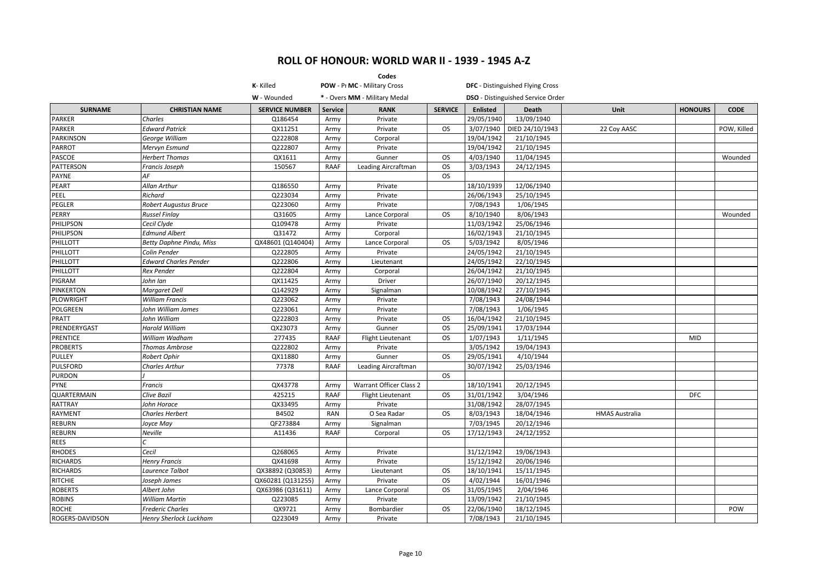|                  |                                 |                       |                | Codes                         |                |            |                                          |                       |                |             |
|------------------|---------------------------------|-----------------------|----------------|-------------------------------|----------------|------------|------------------------------------------|-----------------------|----------------|-------------|
|                  |                                 | K-Killed              |                | POW - Pr MC - Military Cross  |                |            | <b>DFC</b> - Distinguished Flying Cross  |                       |                |             |
|                  |                                 | W - Wounded           |                | * - Overs MM - Military Medal |                |            | <b>DSO</b> - Distinguished Service Order |                       |                |             |
| <b>SURNAME</b>   | <b>CHRISTIAN NAME</b>           | <b>SERVICE NUMBER</b> | <b>Service</b> | <b>RANK</b>                   | <b>SERVICE</b> | Enlisted   | Death                                    | Unit                  | <b>HONOURS</b> | <b>CODE</b> |
| <b>PARKER</b>    | Charles                         | Q186454               | Army           | Private                       |                | 29/05/1940 | 13/09/1940                               |                       |                |             |
| PARKER           | <b>Edward Patrick</b>           | QX11251               | Army           | Private                       | <b>OS</b>      | 3/07/1940  | DIED 24/10/1943                          | 22 Coy AASC           |                | POW, Killed |
| <b>PARKINSON</b> | George William                  | Q222808               | Army           | Corporal                      |                | 19/04/1942 | 21/10/1945                               |                       |                |             |
| <b>PARROT</b>    | Mervyn Esmund                   | Q222807               | Army           | Private                       |                | 19/04/1942 | 21/10/1945                               |                       |                |             |
| PASCOE           | <b>Herbert Thomas</b>           | QX1611                | Army           | Gunner                        | <b>OS</b>      | 4/03/1940  | 11/04/1945                               |                       |                | Wounded     |
| PATTERSON        | Francis Joseph                  | 150567                | <b>RAAF</b>    | Leading Aircraftman           | <b>OS</b>      | 3/03/1943  | 24/12/1945                               |                       |                |             |
| PAYNE            | AF                              |                       |                |                               | <b>OS</b>      |            |                                          |                       |                |             |
| PEART            | Allan Arthur                    | Q186550               | Army           | Private                       |                | 18/10/1939 | 12/06/1940                               |                       |                |             |
| PEEL             | <b>Richard</b>                  | Q223034               | Army           | Private                       |                | 26/06/1943 | 25/10/1945                               |                       |                |             |
| PEGLER           | <b>Robert Augustus Bruce</b>    | Q223060               | Army           | Private                       |                | 7/08/1943  | 1/06/1945                                |                       |                |             |
| PERRY            | <b>Russel Finlay</b>            | Q31605                | Army           | Lance Corporal                | <b>OS</b>      | 8/10/1940  | 8/06/1943                                |                       |                | Wounded     |
| PHILIPSON        | Cecil Clyde                     | Q109478               | Army           | Private                       |                | 11/03/1942 | 25/06/1946                               |                       |                |             |
| PHILIPSON        | Edmund Albert                   | Q31472                | Army           | Corporal                      |                | 16/02/1943 | 21/10/1945                               |                       |                |             |
| PHILLOTT         | <b>Betty Daphne Pindu, Miss</b> | QX48601 (Q140404)     | Army           | Lance Corporal                | <b>OS</b>      | 5/03/1942  | 8/05/1946                                |                       |                |             |
| PHILLOTT         | Colin Pender                    | Q222805               | Army           | Private                       |                | 24/05/1942 | 21/10/1945                               |                       |                |             |
| PHILLOTT         | <b>Edward Charles Pender</b>    | Q222806               | Army           | Lieutenant                    |                | 24/05/1942 | 22/10/1945                               |                       |                |             |
| PHILLOTT         | <b>Rex Pender</b>               | Q222804               | Army           | Corporal                      |                | 26/04/1942 | 21/10/1945                               |                       |                |             |
| PIGRAM           | John Ian                        | QX11425               | Army           | Driver                        |                | 26/07/1940 | 20/12/1945                               |                       |                |             |
| <b>PINKERTON</b> | Margaret Dell                   | Q142929               | Army           | Signalman                     |                | 10/08/1942 | 27/10/1945                               |                       |                |             |
| PLOWRIGHT        | <b>William Francis</b>          | Q223062               | Army           | Private                       |                | 7/08/1943  | 24/08/1944                               |                       |                |             |
| POLGREEN         | John William James              | Q223061               | Army           | Private                       |                | 7/08/1943  | 1/06/1945                                |                       |                |             |
| PRATT            | John William                    | Q222803               | Army           | Private                       | <b>OS</b>      | 16/04/1942 | 21/10/1945                               |                       |                |             |
| PRENDERYGAST     | Harold William                  | QX23073               | Army           | Gunner                        | <b>OS</b>      | 25/09/1941 | 17/03/1944                               |                       |                |             |
| PRENTICE         | William Wadham                  | 277435                | <b>RAAF</b>    | Flight Lieutenant             | <b>OS</b>      | 1/07/1943  | 1/11/1945                                |                       | MID            |             |
| <b>PROBERTS</b>  | <b>Thomas Ambrose</b>           | Q222802               | Army           | Private                       |                | 3/05/1942  | 19/04/1943                               |                       |                |             |
| PULLEY           | Robert Ophir                    | QX11880               | Army           | Gunner                        | <b>OS</b>      | 29/05/1941 | 4/10/1944                                |                       |                |             |
| <b>PULSFORD</b>  | Charles Arthur                  | 77378                 | <b>RAAF</b>    | Leading Aircraftman           |                | 30/07/1942 | 25/03/1946                               |                       |                |             |
| <b>PURDON</b>    |                                 |                       |                |                               | OS             |            |                                          |                       |                |             |
| <b>PYNE</b>      | Francis                         | QX43778               | Army           | Warrant Officer Class 2       |                | 18/10/1941 | 20/12/1945                               |                       |                |             |
| QUARTERMAIN      | Clive Bazil                     | 425215                | <b>RAAF</b>    | Flight Lieutenant             | <b>OS</b>      | 31/01/1942 | 3/04/1946                                |                       | <b>DFC</b>     |             |
| RATTRAY          | John Horace                     | QX33495               | Army           | Private                       |                | 31/08/1942 | 28/07/1945                               |                       |                |             |
| <b>RAYMENT</b>   | <b>Charles Herbert</b>          | B4502                 | <b>RAN</b>     | O Sea Radar                   | <b>OS</b>      | 8/03/1943  | 18/04/1946                               | <b>HMAS Australia</b> |                |             |
| <b>REBURN</b>    | Joyce May                       | QF273884              | Army           | Signalman                     |                | 7/03/1945  | 20/12/1946                               |                       |                |             |
| REBURN           | Neville                         | A11436                | <b>RAAF</b>    | Corporal                      | <b>OS</b>      | 17/12/1943 | 24/12/1952                               |                       |                |             |
| <b>REES</b>      |                                 |                       |                |                               |                |            |                                          |                       |                |             |
| <b>RHODES</b>    | Cecil                           | Q268065               | Army           | Private                       |                | 31/12/1942 | 19/06/1943                               |                       |                |             |
| <b>RICHARDS</b>  | <b>Henry Francis</b>            | QX41698               | Army           | Private                       |                | 15/12/1942 | 20/06/1946                               |                       |                |             |
| <b>RICHARDS</b>  | Laurence Talbot                 | QX38892 (Q30853)      | Army           | Lieutenant                    | <b>OS</b>      | 18/10/1941 | 15/11/1945                               |                       |                |             |
| <b>RITCHIE</b>   | Joseph James                    | QX60281 (Q131255)     | Army           | Private                       | <b>OS</b>      | 4/02/1944  | 16/01/1946                               |                       |                |             |
| <b>ROBERTS</b>   | Albert John                     | QX63986 (Q31611)      | Army           | Lance Corporal                | <b>OS</b>      | 31/05/1945 | 2/04/1946                                |                       |                |             |
| <b>ROBINS</b>    | <b>William Martin</b>           | Q223085               | Army           | Private                       |                | 13/09/1942 | 21/10/1945                               |                       |                |             |
| <b>ROCHE</b>     | <b>Frederic Charles</b>         | QX9721                | Army           | Bombardier                    | <b>OS</b>      | 22/06/1940 | 18/12/1945                               |                       |                | POW         |
| ROGERS-DAVIDSON  | Henry Sherlock Luckham          | Q223049               | Army           | Private                       |                | 7/08/1943  | 21/10/1945                               |                       |                |             |
|                  |                                 |                       |                |                               |                |            |                                          |                       |                |             |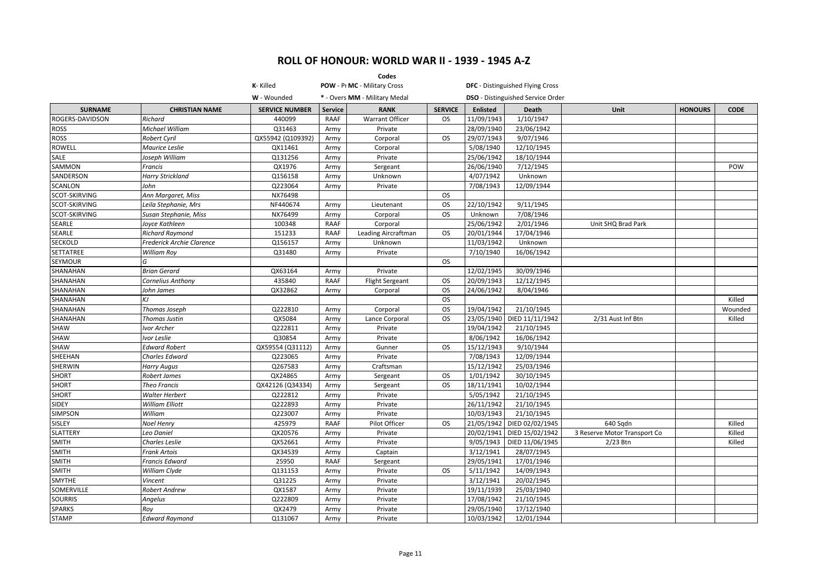|                      |                           |                       |                | Codes                         |                |            |                                          |                              |                |             |
|----------------------|---------------------------|-----------------------|----------------|-------------------------------|----------------|------------|------------------------------------------|------------------------------|----------------|-------------|
|                      |                           | K-Killed              |                | POW - Pr MC - Military Cross  |                |            | <b>DFC</b> - Distinguished Flying Cross  |                              |                |             |
|                      |                           | W - Wounded           |                | * - Overs MM - Military Medal |                |            | <b>DSO</b> - Distinguished Service Order |                              |                |             |
| <b>SURNAME</b>       | <b>CHRISTIAN NAME</b>     | <b>SERVICE NUMBER</b> | <b>Service</b> | <b>RANK</b>                   | <b>SERVICE</b> | Enlisted   | <b>Death</b>                             | <b>Unit</b>                  | <b>HONOURS</b> | <b>CODE</b> |
| ROGERS-DAVIDSON      | Richard                   | 440099                | RAAF           | Warrant Officer               | <b>OS</b>      | 11/09/1943 | 1/10/1947                                |                              |                |             |
| ROSS                 | Michael William           | Q31463                | Army           | Private                       |                | 28/09/1940 | 23/06/1942                               |                              |                |             |
| <b>ROSS</b>          | <b>Robert Cyril</b>       | QX55942 (Q109392)     | Army           | Corporal                      | <b>OS</b>      | 29/07/1943 | 9/07/1946                                |                              |                |             |
| ROWELL               | <b>Maurice Leslie</b>     | QX11461               | Army           | Corporal                      |                | 5/08/1940  | 12/10/1945                               |                              |                |             |
| SALE                 | Joseph William            | Q131256               | Army           | Private                       |                | 25/06/1942 | 18/10/1944                               |                              |                |             |
| SAMMON               | Francis                   | QX1976                | Army           | Sergeant                      |                | 26/06/1940 | 7/12/1945                                |                              |                | POW         |
| SANDERSON            | <b>Harry Strickland</b>   | Q156158               | Army           | Unknown                       |                | 4/07/1942  | Unknown                                  |                              |                |             |
| SCANLON              | John                      | Q223064               | Army           | Private                       |                | 7/08/1943  | 12/09/1944                               |                              |                |             |
| SCOT-SKIRVING        | Ann Margaret, Miss        | NX76498               |                |                               | <b>OS</b>      |            |                                          |                              |                |             |
| SCOT-SKIRVING        | Leila Stephanie, Mrs      | NF440674              | Army           | Lieutenant                    | <b>OS</b>      | 22/10/1942 | 9/11/1945                                |                              |                |             |
| <b>SCOT-SKIRVING</b> | Susan Stephanie, Miss     | NX76499               | Army           | Corporal                      | <b>OS</b>      | Unknown    | 7/08/1946                                |                              |                |             |
| SEARLE               | Joyce Kathleen            | 100348                | <b>RAAF</b>    | Corporal                      |                | 25/06/1942 | 2/01/1946                                | Unit SHQ Brad Park           |                |             |
| SEARLE               | <b>Richard Raymond</b>    | 151233                | <b>RAAF</b>    | Leading Aircraftman           | OS.            | 20/01/1944 | 17/04/1946                               |                              |                |             |
| SECKOLD              | Frederick Archie Clarence | Q156157               | Army           | Unknown                       |                | 11/03/1942 | Unknown                                  |                              |                |             |
| <b>SETTATREE</b>     | <b>William Roy</b>        | Q31480                | Army           | Private                       |                | 7/10/1940  | 16/06/1942                               |                              |                |             |
| SEYMOUR              | G                         |                       |                |                               | <b>OS</b>      |            |                                          |                              |                |             |
| <b>SHANAHAN</b>      | <b>Brian Gerard</b>       | QX63164               | Army           | Private                       |                | 12/02/1945 | 30/09/1946                               |                              |                |             |
| SHANAHAN             | <b>Cornelius Anthony</b>  | 435840                | <b>RAAF</b>    | <b>Flight Sergeant</b>        | OS             | 20/09/1943 | 12/12/1945                               |                              |                |             |
| SHANAHAN             | John James                | QX32862               | Army           | Corporal                      | OS.            | 24/06/1942 | 8/04/1946                                |                              |                |             |
| SHANAHAN             | KJ                        |                       |                |                               | <b>OS</b>      |            |                                          |                              |                | Killed      |
| SHANAHAN             | Thomas Joseph             | Q222810               | Army           | Corporal                      | <b>OS</b>      | 19/04/1942 | 21/10/1945                               |                              |                | Wounded     |
| SHANAHAN             | <b>Thomas Justin</b>      | QX5084                | Army           | Lance Corporal                | <b>OS</b>      | 23/05/1940 | DIED 11/11/1942                          | 2/31 Aust Inf Btn            |                | Killed      |
| SHAW                 | Ivor Archer               | Q222811               | Army           | Private                       |                | 19/04/1942 | 21/10/1945                               |                              |                |             |
| SHAW                 | Ivor Leslie               | Q30854                | Army           | Private                       |                | 8/06/1942  | 16/06/1942                               |                              |                |             |
| SHAW                 | <b>Edward Robert</b>      | QX59554 (Q31112)      | Army           | Gunner                        | OS             | 15/12/1943 | 9/10/1944                                |                              |                |             |
| SHEEHAN              | Charles Edward            | Q223065               | Army           | Private                       |                | 7/08/1943  | 12/09/1944                               |                              |                |             |
| SHERWIN              | <b>Harry Augus</b>        | Q267583               | Army           | Craftsman                     |                | 15/12/1942 | 25/03/1946                               |                              |                |             |
| <b>SHORT</b>         | <b>Robert James</b>       | QX24865               | Army           | Sergeant                      | OS.            | 1/01/1942  | 30/10/1945                               |                              |                |             |
| <b>SHORT</b>         | <b>Theo Francis</b>       | QX42126 (Q34334)      | Army           | Sergeant                      | <b>OS</b>      | 18/11/1941 | 10/02/1944                               |                              |                |             |
| <b>SHORT</b>         | <b>Walter Herbert</b>     | Q222812               | Army           | Private                       |                | 5/05/1942  | 21/10/1945                               |                              |                |             |
| SIDEY                | <b>William Elliott</b>    | Q222893               | Army           | Private                       |                | 26/11/1942 | 21/10/1945                               |                              |                |             |
| <b>SIMPSON</b>       | William                   | Q223007               | Army           | Private                       |                | 10/03/1943 | 21/10/1945                               |                              |                |             |
| SISLEY               | <b>Noel Henry</b>         | 425979                | <b>RAAF</b>    | Pilot Officer                 | <b>OS</b>      | 21/05/1942 | DIED 02/02/1945                          | 640 Sqdn                     |                | Killed      |
| SLATTERY             | Leo Daniel                | QX20576               | Army           | Private                       |                | 20/02/1941 | DIED 15/02/1942                          | 3 Reserve Motor Transport Co |                | Killed      |
| <b>SMITH</b>         | Charles Leslie            | QX52661               | Army           | Private                       |                | 9/05/1943  | DIED 11/06/1945                          | 2/23 Btn                     |                | Killed      |
| <b>SMITH</b>         | <b>Frank Artois</b>       | QX34539               | Army           | Captain                       |                | 3/12/1941  | 28/07/1945                               |                              |                |             |
| <b>SMITH</b>         | <b>Francis Edward</b>     | 25950                 | RAAF           | Sergeant                      |                | 29/05/1941 | 17/01/1946                               |                              |                |             |
| <b>SMITH</b>         | William Clyde             | Q131153               | Army           | Private                       | <b>OS</b>      | 5/11/1942  | 14/09/1943                               |                              |                |             |
| SMYTHE               | Vincent                   | Q31225                | Army           | Private                       |                | 3/12/1941  | 20/02/1945                               |                              |                |             |
| SOMERVILLE           | Robert Andrew             | QX1587                | Army           | Private                       |                | 19/11/1939 | 25/03/1940                               |                              |                |             |
| <b>SOURRIS</b>       | Angelus                   | Q222809               | Army           | Private                       |                | 17/08/1942 | 21/10/1945                               |                              |                |             |
| <b>SPARKS</b>        | Roy                       | QX2479                | Army           | Private                       |                | 29/05/1940 | 17/12/1940                               |                              |                |             |
| <b>STAMP</b>         | <b>Edward Raymond</b>     | Q131067               | Army           | Private                       |                | 10/03/1942 | 12/01/1944                               |                              |                |             |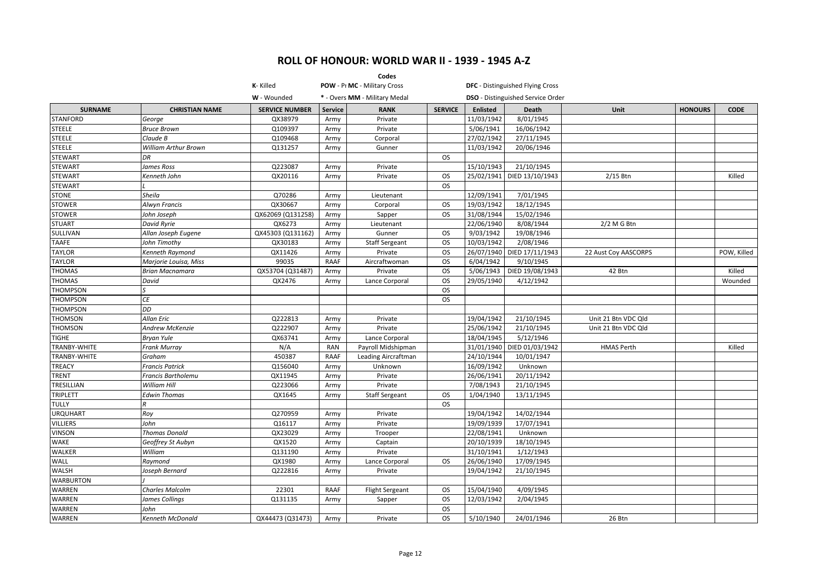|                  |                             |                       |                | Codes                         |                |                 |                                          |                      |                |             |
|------------------|-----------------------------|-----------------------|----------------|-------------------------------|----------------|-----------------|------------------------------------------|----------------------|----------------|-------------|
|                  |                             | K-Killed              |                | POW - Pr MC - Military Cross  |                |                 | DFC - Distinguished Flying Cross         |                      |                |             |
|                  |                             | W - Wounded           |                | * - Overs MM - Military Medal |                |                 | <b>DSO</b> - Distinguished Service Order |                      |                |             |
| <b>SURNAME</b>   | <b>CHRISTIAN NAME</b>       | <b>SERVICE NUMBER</b> | <b>Service</b> | <b>RANK</b>                   | <b>SERVICE</b> | <b>Enlisted</b> | <b>Death</b>                             | Unit                 | <b>HONOURS</b> | <b>CODE</b> |
| <b>STANFORD</b>  | George                      | QX38979               | Army           | Private                       |                | 11/03/1942      | 8/01/1945                                |                      |                |             |
| <b>STEELE</b>    | <b>Bruce Brown</b>          | Q109397               | Army           | Private                       |                | 5/06/1941       | 16/06/1942                               |                      |                |             |
| <b>STEELE</b>    | Claude B                    | Q109468               | Army           | Corporal                      |                | 27/02/1942      | 27/11/1945                               |                      |                |             |
| <b>STEELE</b>    | <b>William Arthur Brown</b> | Q131257               | Army           | Gunner                        |                | 11/03/1942      | 20/06/1946                               |                      |                |             |
| <b>STEWART</b>   | DR                          |                       |                |                               | <b>OS</b>      |                 |                                          |                      |                |             |
| <b>STEWART</b>   | James Ross                  | Q223087               | Army           | Private                       |                | 15/10/1943      | 21/10/1945                               |                      |                |             |
| <b>STEWART</b>   | Kenneth John                | QX20116               | Army           | Private                       | <b>OS</b>      | 25/02/1941      | DIED 13/10/1943                          | 2/15 Btn             |                | Killed      |
| <b>STEWART</b>   |                             |                       |                |                               | <b>OS</b>      |                 |                                          |                      |                |             |
| <b>STONE</b>     | Sheila                      | Q70286                | Army           | Lieutenant                    |                | 12/09/1941      | 7/01/1945                                |                      |                |             |
| <b>STOWER</b>    | <b>Alwyn Francis</b>        | QX30667               | Army           | Corporal                      | <b>OS</b>      | 19/03/1942      | 18/12/1945                               |                      |                |             |
| <b>STOWER</b>    | John Joseph                 | QX62069 (Q131258)     | Army           | Sapper                        | <b>OS</b>      | 31/08/1944      | 15/02/1946                               |                      |                |             |
| <b>STUART</b>    | <b>David Ryrie</b>          | QX6273                | Army           | Lieutenant                    |                | 22/06/1940      | 8/08/1944                                | $2/2$ M G Btn        |                |             |
| SULLIVAN         | Allan Joseph Eugene         | QX45303 (Q131162)     | Army           | Gunner                        | <b>OS</b>      | 9/03/1942       | 19/08/1946                               |                      |                |             |
| TAAFE            | John Timothy                | QX30183               | Army           | <b>Staff Sergeant</b>         | <b>OS</b>      | 10/03/1942      | 2/08/1946                                |                      |                |             |
| <b>TAYLOR</b>    | Kenneth Raymond             | QX11426               | Army           | Private                       | <b>OS</b>      | 26/07/1940      | DIED 17/11/1943                          | 22 Aust Coy AASCORPS |                | POW, Killed |
| <b>TAYLOR</b>    | Marjorie Louisa, Miss       | 99035                 | <b>RAAF</b>    | Aircraftwoman                 | <b>OS</b>      | 6/04/1942       | 9/10/1945                                |                      |                |             |
| <b>THOMAS</b>    | <b>Brian Macnamara</b>      | QX53704 (Q31487)      | Army           | Private                       | <b>OS</b>      | 5/06/1943       | DIED 19/08/1943                          | 42 Btn               |                | Killed      |
| <b>THOMAS</b>    | David                       | QX2476                | Army           | Lance Corporal                | <b>OS</b>      | 29/05/1940      | 4/12/1942                                |                      |                | Wounded     |
| <b>THOMPSON</b>  | lS                          |                       |                |                               | <b>OS</b>      |                 |                                          |                      |                |             |
| <b>THOMPSON</b>  | <b>CE</b>                   |                       |                |                               | <b>OS</b>      |                 |                                          |                      |                |             |
| <b>THOMPSON</b>  | DD                          |                       |                |                               |                |                 |                                          |                      |                |             |
| <b>THOMSON</b>   | <b>Allan Eric</b>           | Q222813               | Army           | Private                       |                | 19/04/1942      | 21/10/1945                               | Unit 21 Btn VDC Qld  |                |             |
| THOMSON          | <b>Andrew McKenzie</b>      | Q222907               | Army           | Private                       |                | 25/06/1942      | 21/10/1945                               | Unit 21 Btn VDC Qld  |                |             |
| <b>TIGHE</b>     | <b>Bryan Yule</b>           | QX63741               | Army           | Lance Corporal                |                | 18/04/1945      | 5/12/1946                                |                      |                |             |
| TRANBY-WHITE     | <b>Frank Murray</b>         | N/A                   | <b>RAN</b>     | Payroll Midshipman            |                | 31/01/1940      | DIED 01/03/1942                          | <b>HMAS Perth</b>    |                | Killed      |
| TRANBY-WHITE     | Graham                      | 450387                | <b>RAAF</b>    | Leading Aircraftman           |                | 24/10/1944      | 10/01/1947                               |                      |                |             |
| <b>TREACY</b>    | <b>Francis Patrick</b>      | Q156040               | Army           | Unknown                       |                | 16/09/1942      | Unknown                                  |                      |                |             |
| TRENT            | <b>Francis Bartholemu</b>   | QX11945               | Army           | Private                       |                | 26/06/1941      | 20/11/1942                               |                      |                |             |
| TRESILLIAN       | <b>William Hill</b>         | Q223066               | Army           | Private                       |                | 7/08/1943       | 21/10/1945                               |                      |                |             |
| TRIPLETT         | <b>Edwin Thomas</b>         | QX1645                | Army           | <b>Staff Sergeant</b>         | <b>OS</b>      | 1/04/1940       | 13/11/1945                               |                      |                |             |
| <b>TULLY</b>     | R                           |                       |                |                               | <b>OS</b>      |                 |                                          |                      |                |             |
| URQUHART         | Roy                         | Q270959               | Army           | Private                       |                | 19/04/1942      | 14/02/1944                               |                      |                |             |
| <b>VILLIERS</b>  | John                        | Q16117                | Army           | Private                       |                | 19/09/1939      | 17/07/1941                               |                      |                |             |
| <b>VINSON</b>    | <b>Thomas Donald</b>        | QX23029               | Army           | Trooper                       |                | 22/08/1941      | Unknown                                  |                      |                |             |
| WAKE             | Geoffrey St Aubyn           | QX1520                | Army           | Captain                       |                | 20/10/1939      | 18/10/1945                               |                      |                |             |
| WALKER           | William                     | Q131190               | Army           | Private                       |                | 31/10/1941      | 1/12/1943                                |                      |                |             |
| <b>WALL</b>      | Raymond                     | QX1980                | Army           | Lance Corporal                | <b>OS</b>      | 26/06/1940      | 17/09/1945                               |                      |                |             |
| <b>WALSH</b>     | Joseph Bernard              | Q222816               | Army           | Private                       |                | 19/04/1942      | 21/10/1945                               |                      |                |             |
| <b>WARBURTON</b> |                             |                       |                |                               |                |                 |                                          |                      |                |             |
| WARREN           | <b>Charles Malcolm</b>      | 22301                 | <b>RAAF</b>    | <b>Flight Sergeant</b>        | <b>OS</b>      | 15/04/1940      | 4/09/1945                                |                      |                |             |
| WARREN           | James Collings              | Q131135               | Army           | Sapper                        | <b>OS</b>      | 12/03/1942      | 2/04/1945                                |                      |                |             |
| <b>WARREN</b>    | John                        |                       |                |                               | <b>OS</b>      |                 |                                          |                      |                |             |
| WARREN           | <b>Kenneth McDonald</b>     | QX44473 (Q31473)      | Army           | Private                       | <b>OS</b>      | 5/10/1940       | 24/01/1946                               | 26 Btn               |                |             |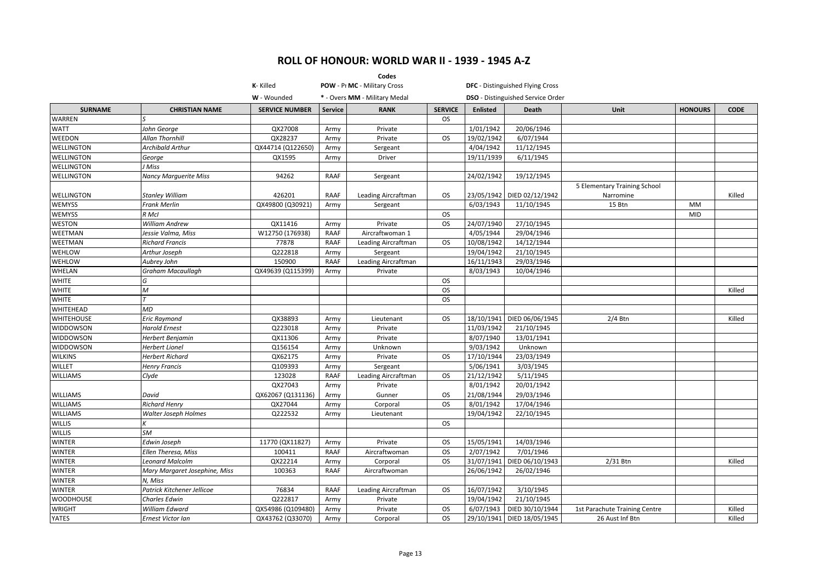|                   |                               |                       |                                                               | Codes                      |                |                 |                                          |                               |                |             |
|-------------------|-------------------------------|-----------------------|---------------------------------------------------------------|----------------------------|----------------|-----------------|------------------------------------------|-------------------------------|----------------|-------------|
|                   |                               | K-Killed              | POW - Pr MC - Military Cross<br>* - Overs MM - Military Medal |                            |                |                 | <b>DFC</b> - Distinguished Flying Cross  |                               |                |             |
|                   |                               | W - Wounded           |                                                               |                            |                |                 | <b>DSO</b> - Distinguished Service Order |                               |                |             |
| <b>SURNAME</b>    | <b>CHRISTIAN NAME</b>         | <b>SERVICE NUMBER</b> | <b>Service</b>                                                | <b>RANK</b>                | <b>SERVICE</b> | <b>Enlisted</b> | Death                                    | Unit                          | <b>HONOURS</b> | <b>CODE</b> |
| <b>WARREN</b>     | ls                            |                       |                                                               |                            | <b>OS</b>      |                 |                                          |                               |                |             |
| <b>WATT</b>       | John George                   | QX27008               | Army                                                          | Private                    |                | 1/01/1942       | 20/06/1946                               |                               |                |             |
| WEEDON            | Allan Thornhill               | QX28237               | Army                                                          | Private                    | <b>OS</b>      | 19/02/1942      | 6/07/1944                                |                               |                |             |
| <b>WELLINGTON</b> | <b>Archibald Arthur</b>       | QX44714 (Q122650)     | Army                                                          | Sergeant                   |                | 4/04/1942       | 11/12/1945                               |                               |                |             |
| <b>WELLINGTON</b> | George                        | QX1595                | Army                                                          | Driver                     |                | 19/11/1939      | 6/11/1945                                |                               |                |             |
| <b>WELLINGTON</b> | J Miss                        |                       |                                                               |                            |                |                 |                                          |                               |                |             |
| <b>WELLINGTON</b> | <b>Nancy Marquerite Miss</b>  | 94262                 | <b>RAAF</b>                                                   | Sergeant                   |                | 24/02/1942      | 19/12/1945                               |                               |                |             |
|                   |                               |                       |                                                               |                            |                |                 |                                          | 5 Elementary Training School  |                |             |
| <b>WELLINGTON</b> | <b>Stanley William</b>        | 426201                | RAAF                                                          | Leading Aircraftman        | <b>OS</b>      | 23/05/1942      | DIED 02/12/1942                          | Narromine                     |                | Killed      |
| <b>WEMYSS</b>     | <b>Frank Merlin</b>           | QX49800 (Q30921)      | Army                                                          | Sergeant                   |                | 6/03/1943       | 11/10/1945                               | 15 Btn                        | MM             |             |
| <b>WEMYSS</b>     | R McI                         |                       |                                                               |                            | <b>OS</b>      |                 |                                          |                               | MID            |             |
| WESTON            | <b>William Andrew</b>         | QX11416               | Army                                                          | Private                    | <b>OS</b>      | 24/07/1940      | 27/10/1945                               |                               |                |             |
| WEETMAN           | Jessie Valma, Miss            | W12750 (176938)       | RAAF                                                          | Aircraftwoman 1            |                | 4/05/1944       | 29/04/1946                               |                               |                |             |
| WEETMAN           | <b>Richard Francis</b>        | 77878                 | <b>RAAF</b>                                                   | <b>Leading Aircraftman</b> | <b>OS</b>      | 10/08/1942      | 14/12/1944                               |                               |                |             |
| WEHLOW            | Arthur Joseph                 | Q222818               | Army                                                          | Sergeant                   |                | 19/04/1942      | 21/10/1945                               |                               |                |             |
| WEHLOW            | Aubrey John                   | 150900                | <b>RAAF</b>                                                   | Leading Aircraftman        |                | 16/11/1943      | 29/03/1946                               |                               |                |             |
| WHELAN            | <b>Graham Macaullagh</b>      | QX49639 (Q115399)     | Army                                                          | Private                    |                | 8/03/1943       | 10/04/1946                               |                               |                |             |
| <b>WHITE</b>      | G                             |                       |                                                               |                            | <b>OS</b>      |                 |                                          |                               |                |             |
| <b>WHITE</b>      | $\mathcal M$                  |                       |                                                               |                            | <b>OS</b>      |                 |                                          |                               |                | Killed      |
| WHITE             | $\tau$                        |                       |                                                               |                            | <b>OS</b>      |                 |                                          |                               |                |             |
| WHITEHEAD         | <b>MD</b>                     |                       |                                                               |                            |                |                 |                                          |                               |                |             |
| <b>WHITEHOUSE</b> | <b>Eric Raymond</b>           | QX38893               | Army                                                          | Lieutenant                 | <b>OS</b>      | 18/10/1941      | DIED 06/06/1945                          | $2/4$ Btn                     |                | Killed      |
| WIDDOWSON         | <b>Harold Ernest</b>          | Q223018               | Army                                                          | Private                    |                | 11/03/1942      | 21/10/1945                               |                               |                |             |
| WIDDOWSON         | Herbert Benjamin              | QX11306               | Army                                                          | Private                    |                | 8/07/1940       | 13/01/1941                               |                               |                |             |
| <b>WIDDOWSON</b>  | <b>Herbert Lionel</b>         | Q156154               | Army                                                          | Unknown                    |                | 9/03/1942       | Unknown                                  |                               |                |             |
| <b>WILKINS</b>    | <b>Herbert Richard</b>        | QX62175               | Army                                                          | Private                    | <b>OS</b>      | 17/10/1944      | 23/03/1949                               |                               |                |             |
| WILLET            | <b>Henry Francis</b>          | Q109393               | Army                                                          | Sergeant                   |                | 5/06/1941       | 3/03/1945                                |                               |                |             |
| <b>WILLIAMS</b>   | Clyde                         | 123028                | <b>RAAF</b>                                                   | Leading Aircraftman        | <b>OS</b>      | 21/12/1942      | 5/11/1945                                |                               |                |             |
|                   |                               | QX27043               | Army                                                          | Private                    |                | 8/01/1942       | 20/01/1942                               |                               |                |             |
| <b>WILLIAMS</b>   | David                         | QX62067 (Q131136)     | Army                                                          | Gunner                     | <b>OS</b>      | 21/08/1944      | 29/03/1946                               |                               |                |             |
| <b>WILLIAMS</b>   | <b>Richard Henry</b>          | QX27044               | Army                                                          | Corporal                   | <b>OS</b>      | 8/01/1942       | 17/04/1946                               |                               |                |             |
| <b>WILLIAMS</b>   | <b>Walter Joseph Holmes</b>   | Q222532               | Army                                                          | Lieutenant                 |                | 19/04/1942      | 22/10/1945                               |                               |                |             |
| <b>WILLIS</b>     |                               |                       |                                                               |                            | <b>OS</b>      |                 |                                          |                               |                |             |
| <b>WILLIS</b>     | SM                            |                       |                                                               |                            |                |                 |                                          |                               |                |             |
| <b>WINTER</b>     | Edwin Joseph                  | 11770 (QX11827)       | Army                                                          | Private                    | <b>OS</b>      | 15/05/1941      | 14/03/1946                               |                               |                |             |
| <b>WINTER</b>     | Ellen Theresa, Miss           | 100411                | <b>RAAF</b>                                                   | Aircraftwoman              | <b>OS</b>      | 2/07/1942       | 7/01/1946                                |                               |                |             |
| <b>WINTER</b>     | <b>Leonard Malcolm</b>        | QX22214               | Army                                                          | Corporal                   | <b>OS</b>      | 31/07/1941      | DIED 06/10/1943                          | 2/31 Btn                      |                | Killed      |
| WINTER            | Mary Margaret Josephine, Miss | 100363                | <b>RAAF</b>                                                   | Aircraftwoman              |                | 26/06/1942      | 26/02/1946                               |                               |                |             |
| <b>WINTER</b>     | N, Miss                       |                       |                                                               |                            |                |                 |                                          |                               |                |             |
| <b>WINTER</b>     | Patrick Kitchener Jellicoe    | 76834                 | <b>RAAF</b>                                                   | Leading Aircraftman        | <b>OS</b>      | 16/07/1942      | 3/10/1945                                |                               |                |             |
| <b>WOODHOUSE</b>  | Charles Edwin                 | Q222817               | Army                                                          | Private                    |                | 19/04/1942      | 21/10/1945                               |                               |                |             |
| <b>WRIGHT</b>     | <b>William Edward</b>         | QX54986 (Q109480)     | Army                                                          | Private                    | <b>OS</b>      |                 | 6/07/1943   DIED 30/10/1944              | 1st Parachute Training Centre |                | Killed      |
| YATES             | Ernest Victor Ian             | QX43762 (Q33070)      | Army                                                          | Corporal                   | <b>OS</b>      |                 | 29/10/1941 DIED 18/05/1945               | 26 Aust Inf Btn               |                | Killed      |